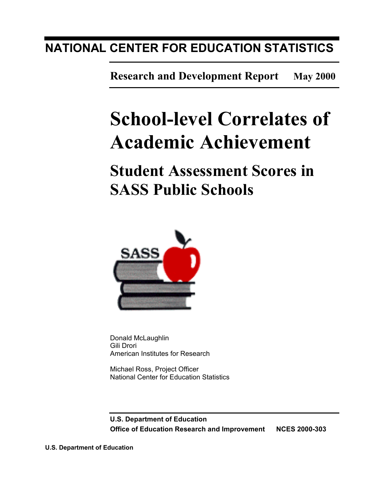# **NATIONAL CENTER FOR EDUCATION STATISTICS**

**Research and Development Report May 2000**

# **School-level Correlates of Academic Achievement**

**Student Assessment Scores in SASS Public Schools**



Donald McLaughlin Gili Drori American Institutes for Research

Michael Ross, Project Officer National Center for Education Statistics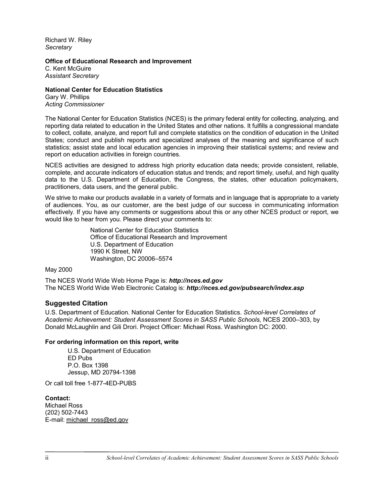Richard W. Riley *Secretary*

**Office of Educational Research and Improvement** C. Kent McGuire

*Assistant Secretary*

**National Center for Education Statistics**

Gary W. Phillips *Acting Commissioner*

The National Center for Education Statistics (NCES) is the primary federal entity for collecting, analyzing, and reporting data related to education in the United States and other nations. It fulfills a congressional mandate to collect, collate, analyze, and report full and complete statistics on the condition of education in the United States; conduct and publish reports and specialized analyses of the meaning and significance of such statistics; assist state and local education agencies in improving their statistical systems; and review and report on education activities in foreign countries.

NCES activities are designed to address high priority education data needs; provide consistent, reliable, complete, and accurate indicators of education status and trends; and report timely, useful, and high quality data to the U.S. Department of Education, the Congress, the states, other education policymakers, practitioners, data users, and the general public.

We strive to make our products available in a variety of formats and in language that is appropriate to a variety of audiences. You, as our customer, are the best judge of our success in communicating information effectively. If you have any comments or suggestions about this or any other NCES product or report, we would like to hear from you. Please direct your comments to:

> National Center for Education Statistics Office of Educational Research and Improvement U.S. Department of Education 1990 K Street, NW Washington, DC 20006–5574

May 2000

The NCES World Wide Web Home Page is: *http://nces.ed.gov* The NCES World Wide Web Electronic Catalog is: *http://nces.ed.gov/pubsearch/index.asp*

### **Suggested Citation**

U.S. Department of Education. National Center for Education Statistics. *School-level Correlates of Academic Achievement: Student Assessment Scores in SASS Public Schools,* NCES 2000–303, by Donald McLaughlin and Gili Drori. Project Officer: Michael Ross. Washington DC: 2000.

#### **For ordering information on this report, write**

U.S. Department of Education ED Pubs P.O. Box 1398 Jessup, MD 20794-1398

Or call toll free 1-877-4ED-PUBS

**Contact:** Michael Ross (202) 502-7443 E-mail: michael\_ross@ed.gov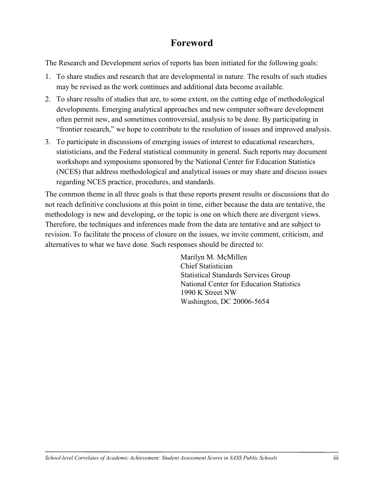# **Foreword**

The Research and Development series of reports has been initiated for the following goals:

- 1. To share studies and research that are developmental in nature. The results of such studies may be revised as the work continues and additional data become available.
- 2. To share results of studies that are, to some extent, on the cutting edge of methodological developments. Emerging analytical approaches and new computer software development often permit new, and sometimes controversial, analysis to be done. By participating in "frontier research," we hope to contribute to the resolution of issues and improved analysis.
- 3. To participate in discussions of emerging issues of interest to educational researchers, statisticians, and the Federal statistical community in general. Such reports may document workshops and symposiums sponsored by the National Center for Education Statistics (NCES) that address methodological and analytical issues or may share and discuss issues regarding NCES practice, procedures, and standards.

The common theme in all three goals is that these reports present results or discussions that do not reach definitive conclusions at this point in time, either because the data are tentative, the methodology is new and developing, or the topic is one on which there are divergent views. Therefore, the techniques and inferences made from the data are tentative and are subject to revision. To facilitate the process of closure on the issues, we invite comment, criticism, and alternatives to what we have done. Such responses should be directed to:

> Marilyn M. McMillen Chief Statistician Statistical Standards Services Group National Center for Education Statistics 1990 K Street NW Washington, DC 20006-5654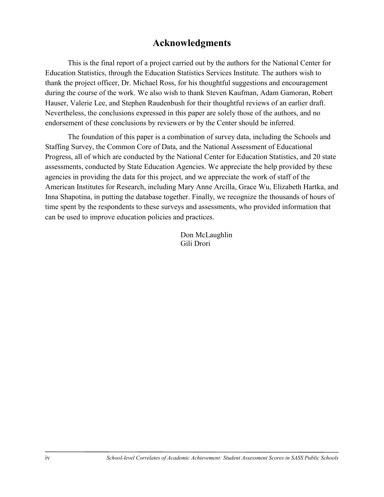# **Acknowledgments**

This is the final report of a project carried out by the authors for the National Center for Education Statistics, through the Education Statistics Services Institute. The authors wish to thank the project officer, Dr. Michael Ross, for his thoughtful suggestions and encouragement during the course of the work. We also wish to thank Steven Kaufman, Adam Gamoran, Robert Hauser, Valerie Lee, and Stephen Raudenbush for their thoughtful reviews of an earlier draft. Nevertheless, the conclusions expressed in this paper are solely those of the authors, and no endorsement of these conclusions by reviewers or by the Center should be inferred.

The foundation of this paper is a combination of survey data, including the Schools and Staffing Survey, the Common Core of Data, and the National Assessment of Educational Progress, all of which are conducted by the National Center for Education Statistics, and 20 state assessments, conducted by State Education Agencies. We appreciate the help provided by these agencies in providing the data for this project, and we appreciate the work of staff of the American Institutes for Research, including Mary Anne Arcilla, Grace Wu, Elizabeth Hartka, and Inna Shapotina, in putting the database together. Finally, we recognize the thousands of hours of time spent by the respondents to these surveys and assessments, who provided information that can be used to improve education policies and practices.

> Don McLaughlin Gili Drori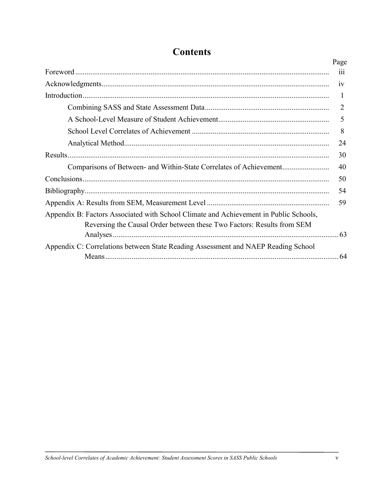|                                                                                                                                                                 | Page           |
|-----------------------------------------------------------------------------------------------------------------------------------------------------------------|----------------|
|                                                                                                                                                                 | 111            |
|                                                                                                                                                                 | 1V             |
|                                                                                                                                                                 | $\mathbf{I}$   |
|                                                                                                                                                                 | $\overline{2}$ |
|                                                                                                                                                                 | 5              |
|                                                                                                                                                                 | 8              |
|                                                                                                                                                                 | 24             |
|                                                                                                                                                                 | 30             |
| Comparisons of Between- and Within-State Correlates of Achievement                                                                                              | 40             |
|                                                                                                                                                                 | 50             |
|                                                                                                                                                                 | 54             |
|                                                                                                                                                                 | 59             |
| Appendix B: Factors Associated with School Climate and Achievement in Public Schools,<br>Reversing the Causal Order between these Two Factors: Results from SEM |                |
| Appendix C: Correlations between State Reading Assessment and NAEP Reading School                                                                               |                |
|                                                                                                                                                                 |                |

# **Contents**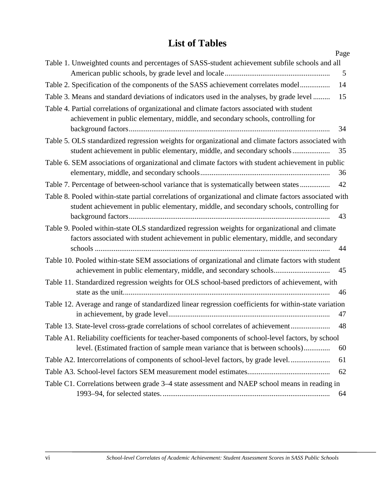# **List of Tables**

|                                                                                                                                                                                                     | Page |
|-----------------------------------------------------------------------------------------------------------------------------------------------------------------------------------------------------|------|
| Table 1. Unweighted counts and percentages of SASS-student achievement subfile schools and all                                                                                                      |      |
|                                                                                                                                                                                                     | 5    |
| Table 2. Specification of the components of the SASS achievement correlates model                                                                                                                   | 14   |
| Table 3. Means and standard deviations of indicators used in the analyses, by grade level                                                                                                           | 15   |
| Table 4. Partial correlations of organizational and climate factors associated with student<br>achievement in public elementary, middle, and secondary schools, controlling for                     | 34   |
| Table 5. OLS standardized regression weights for organizational and climate factors associated with                                                                                                 |      |
| student achievement in public elementary, middle, and secondary schools                                                                                                                             | 35   |
| Table 6. SEM associations of organizational and climate factors with student achievement in public                                                                                                  | 36   |
| Table 7. Percentage of between-school variance that is systematically between states                                                                                                                | 42   |
| Table 8. Pooled within-state partial correlations of organizational and climate factors associated with<br>student achievement in public elementary, middle, and secondary schools, controlling for | 43   |
| Table 9. Pooled within-state OLS standardized regression weights for organizational and climate<br>factors associated with student achievement in public elementary, middle, and secondary          | 44   |
| Table 10. Pooled within-state SEM associations of organizational and climate factors with student                                                                                                   | 45   |
| Table 11. Standardized regression weights for OLS school-based predictors of achievement, with                                                                                                      | 46   |
| Table 12. Average and range of standardized linear regression coefficients for within-state variation                                                                                               | 47   |
| Table 13. State-level cross-grade correlations of school correlates of achievement                                                                                                                  | 48   |
| Table A1. Reliability coefficients for teacher-based components of school-level factors, by school<br>level. (Estimated fraction of sample mean variance that is between schools)                   | 60   |
| Table A2. Intercorrelations of components of school-level factors, by grade level                                                                                                                   | 61   |
|                                                                                                                                                                                                     | 62   |
|                                                                                                                                                                                                     |      |
| Table C1. Correlations between grade 3–4 state assessment and NAEP school means in reading in                                                                                                       | 64   |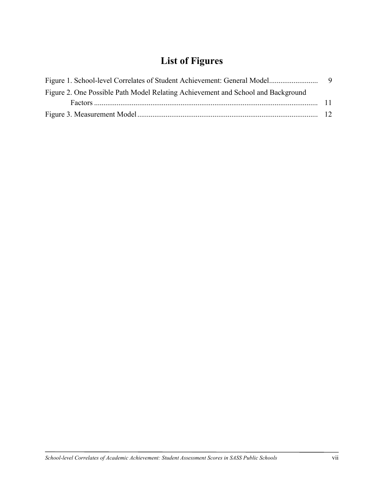# **List of Figures**

| Figure 2. One Possible Path Model Relating Achievement and School and Background |  |
|----------------------------------------------------------------------------------|--|
|                                                                                  |  |
|                                                                                  |  |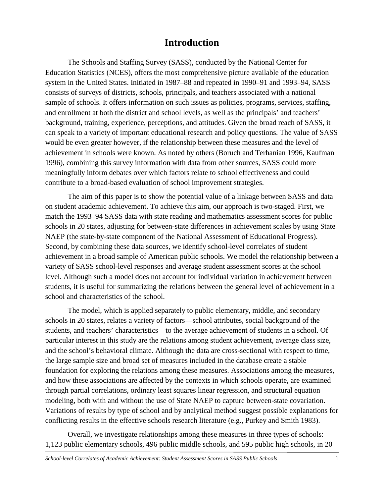# **Introduction**

The Schools and Staffing Survey (SASS), conducted by the National Center for Education Statistics (NCES), offers the most comprehensive picture available of the education system in the United States. Initiated in 1987–88 and repeated in 1990–91 and 1993–94, SASS consists of surveys of districts, schools, principals, and teachers associated with a national sample of schools. It offers information on such issues as policies, programs, services, staffing, and enrollment at both the district and school levels, as well as the principals' and teachers' background, training, experience, perceptions, and attitudes. Given the broad reach of SASS, it can speak to a variety of important educational research and policy questions. The value of SASS would be even greater however, if the relationship between these measures and the level of achievement in schools were known. As noted by others (Boruch and Terhanian 1996, Kaufman 1996), combining this survey information with data from other sources, SASS could more meaningfully inform debates over which factors relate to school effectiveness and could contribute to a broad-based evaluation of school improvement strategies.

The aim of this paper is to show the potential value of a linkage between SASS and data on student academic achievement. To achieve this aim, our approach is two-staged. First, we match the 1993–94 SASS data with state reading and mathematics assessment scores for public schools in 20 states, adjusting for between-state differences in achievement scales by using State NAEP (the state-by-state component of the National Assessment of Educational Progress). Second, by combining these data sources, we identify school-level correlates of student achievement in a broad sample of American public schools. We model the relationship between a variety of SASS school-level responses and average student assessment scores at the school level. Although such a model does not account for individual variation in achievement between students, it is useful for summarizing the relations between the general level of achievement in a school and characteristics of the school.

The model, which is applied separately to public elementary, middle, and secondary schools in 20 states, relates a variety of factors—school attributes, social background of the students, and teachers' characteristics—to the average achievement of students in a school. Of particular interest in this study are the relations among student achievement, average class size, and the school's behavioral climate. Although the data are cross-sectional with respect to time, the large sample size and broad set of measures included in the database create a stable foundation for exploring the relations among these measures. Associations among the measures, and how these associations are affected by the contexts in which schools operate, are examined through partial correlations, ordinary least squares linear regression, and structural equation modeling, both with and without the use of State NAEP to capture between-state covariation. Variations of results by type of school and by analytical method suggest possible explanations for conflicting results in the effective schools research literature (e.g., Purkey and Smith 1983).

Overall, we investigate relationships among these measures in three types of schools: 1,123 public elementary schools, 496 public middle schools, and 595 public high schools, in 20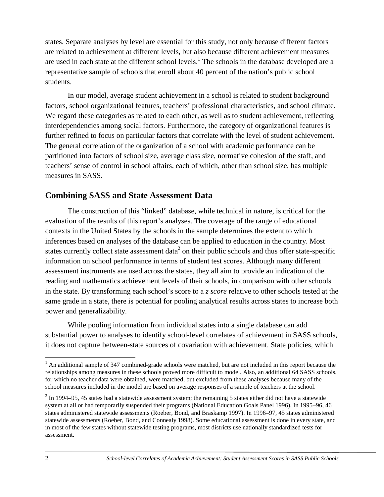states. Separate analyses by level are essential for this study, not only because different factors are related to achievement at different levels, but also because different achievement measures are used in each state at the different school levels.<sup>1</sup> The schools in the database developed are a representative sample of schools that enroll about 40 percent of the nation's public school students.

In our model, average student achievement in a school is related to student background factors, school organizational features, teachers' professional characteristics, and school climate. We regard these categories as related to each other, as well as to student achievement, reflecting interdependencies among social factors. Furthermore, the category of organizational features is further refined to focus on particular factors that correlate with the level of student achievement. The general correlation of the organization of a school with academic performance can be partitioned into factors of school size, average class size, normative cohesion of the staff, and teachers' sense of control in school affairs, each of which, other than school size, has multiple measures in SASS.

# **Combining SASS and State Assessment Data**

The construction of this "linked" database, while technical in nature, is critical for the evaluation of the results of this report's analyses. The coverage of the range of educational contexts in the United States by the schools in the sample determines the extent to which inferences based on analyses of the database can be applied to education in the country. Most states currently collect state assessment data<sup>2</sup> on their public schools and thus offer state-specific information on school performance in terms of student test scores. Although many different assessment instruments are used across the states, they all aim to provide an indication of the reading and mathematics achievement levels of their schools, in comparison with other schools in the state. By transforming each school's score to a *z score* relative to other schools tested at the same grade in a state, there is potential for pooling analytical results across states to increase both power and generalizability.

While pooling information from individual states into a single database can add substantial power to analyses to identify school-level correlates of achievement in SASS schools, it does not capture between-state sources of covariation with achievement. State policies, which

 $<sup>1</sup>$  An additional sample of 347 combined-grade schools were matched, but are not included in this report because the</sup> relationships among measures in these schools proved more difficult to model. Also, an additional 64 SASS schools, for which no teacher data were obtained, were matched, but excluded from these analyses because many of the school measures included in the model are based on average responses of a sample of teachers at the school.

 $2$  In 1994–95, 45 states had a statewide assessment system; the remaining 5 states either did not have a statewide system at all or had temporarily suspended their programs (National Education Goals Panel 1996). In 1995–96, 46 states administered statewide assessments (Roeber, Bond, and Braskamp 1997). In 1996–97, 45 states administered statewide assessments (Roeber, Bond, and Connealy 1998). Some educational assessment is done in every state, and in most of the few states without statewide testing programs, most districts use nationally standardized tests for assessment.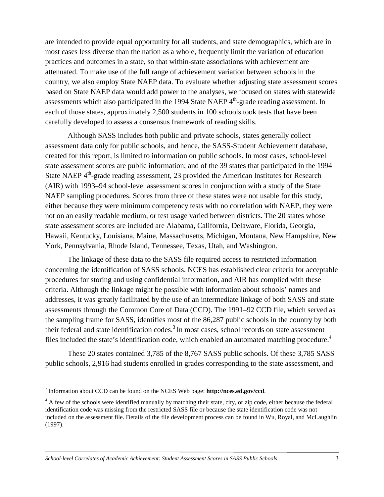are intended to provide equal opportunity for all students, and state demographics, which are in most cases less diverse than the nation as a whole, frequently limit the variation of education practices and outcomes in a state, so that within-state associations with achievement are attenuated. To make use of the full range of achievement variation between schools in the country, we also employ State NAEP data. To evaluate whether adjusting state assessment scores based on State NAEP data would add power to the analyses, we focused on states with statewide assessments which also participated in the 1994 State NAEP  $4<sup>th</sup>$ -grade reading assessment. In each of those states, approximately 2,500 students in 100 schools took tests that have been carefully developed to assess a consensus framework of reading skills.

Although SASS includes both public and private schools, states generally collect assessment data only for public schools, and hence, the SASS-Student Achievement database, created for this report, is limited to information on public schools. In most cases, school-level state assessment scores are public information; and of the 39 states that participated in the 1994 State NAEP  $4<sup>th</sup>$ -grade reading assessment, 23 provided the American Institutes for Research (AIR) with 1993–94 school-level assessment scores in conjunction with a study of the State NAEP sampling procedures. Scores from three of these states were not usable for this study, either because they were minimum competency tests with no correlation with NAEP, they were not on an easily readable medium, or test usage varied between districts. The 20 states whose state assessment scores are included are Alabama, California, Delaware, Florida, Georgia, Hawaii, Kentucky, Louisiana, Maine, Massachusetts, Michigan, Montana, New Hampshire, New York, Pennsylvania, Rhode Island, Tennessee, Texas, Utah, and Washington.

The linkage of these data to the SASS file required access to restricted information concerning the identification of SASS schools. NCES has established clear criteria for acceptable procedures for storing and using confidential information, and AIR has complied with these criteria. Although the linkage might be possible with information about schools' names and addresses, it was greatly facilitated by the use of an intermediate linkage of both SASS and state assessments through the Common Core of Data (CCD). The 1991–92 CCD file, which served as the sampling frame for SASS, identifies most of the 86,287 public schools in the country by both their federal and state identification codes.<sup>3</sup> In most cases, school records on state assessment files included the state's identification code, which enabled an automated matching procedure.<sup>4</sup>

These 20 states contained 3,785 of the 8,767 SASS public schools. Of these 3,785 SASS public schools, 2,916 had students enrolled in grades corresponding to the state assessment, and

<sup>3</sup> Information about CCD can be found on the NCES Web page: **http://nces.ed.gov/ccd**.

<sup>&</sup>lt;sup>4</sup> A few of the schools were identified manually by matching their state, city, or zip code, either because the federal identification code was missing from the restricted SASS file or because the state identification code was not included on the assessment file. Details of the file development process can be found in Wu, Royal, and McLaughlin (1997).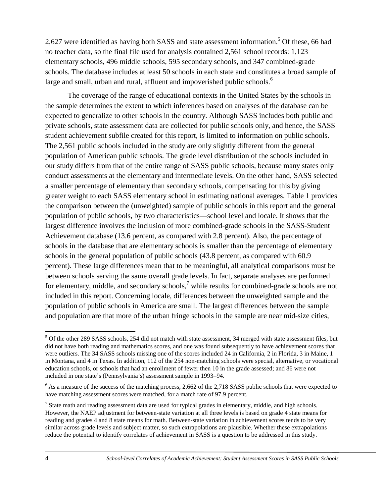2,627 were identified as having both SASS and state assessment information.<sup>5</sup> Of these, 66 had no teacher data, so the final file used for analysis contained 2,561 school records: 1,123 elementary schools, 496 middle schools, 595 secondary schools, and 347 combined-grade schools. The database includes at least 50 schools in each state and constitutes a broad sample of large and small, urban and rural, affluent and impoverished public schools.<sup>6</sup>

The coverage of the range of educational contexts in the United States by the schools in the sample determines the extent to which inferences based on analyses of the database can be expected to generalize to other schools in the country. Although SASS includes both public and private schools, state assessment data are collected for public schools only, and hence, the SASS student achievement subfile created for this report, is limited to information on public schools. The 2,561 public schools included in the study are only slightly different from the general population of American public schools. The grade level distribution of the schools included in our study differs from that of the entire range of SASS public schools, because many states only conduct assessments at the elementary and intermediate levels. On the other hand, SASS selected a smaller percentage of elementary than secondary schools, compensating for this by giving greater weight to each SASS elementary school in estimating national averages. Table 1 provides the comparison between the (unweighted) sample of public schools in this report and the general population of public schools, by two characteristics—school level and locale. It shows that the largest difference involves the inclusion of more combined-grade schools in the SASS-Student Achievement database (13.6 percent, as compared with 2.8 percent). Also, the percentage of schools in the database that are elementary schools is smaller than the percentage of elementary schools in the general population of public schools (43.8 percent, as compared with 60.9 percent). These large differences mean that to be meaningful, all analytical comparisons must be between schools serving the same overall grade levels. In fact, separate analyses are performed for elementary, middle, and secondary schools,<sup>7</sup> while results for combined-grade schools are not included in this report. Concerning locale, differences between the unweighted sample and the population of public schools in America are small. The largest differences between the sample and population are that more of the urban fringe schools in the sample are near mid-size cities,

 $\overline{a}$  $5$  Of the other 289 SASS schools, 254 did not match with state assessment, 34 merged with state assessment files, but did not have both reading and mathematics scores, and one was found subsequently to have achievement scores that were outliers. The 34 SASS schools missing one of the scores included 24 in California, 2 in Florida, 3 in Maine, 1 in Montana, and 4 in Texas. In addition, 112 of the 254 non-matching schools were special, alternative, or vocational education schools, or schools that had an enrollment of fewer then 10 in the grade assessed; and 86 were not included in one state's (Pennsylvania's) assessment sample in 1993–94.

 $6$  As a measure of the success of the matching process, 2,662 of the 2,718 SASS public schools that were expected to have matching assessment scores were matched, for a match rate of 97.9 percent.

 $<sup>7</sup>$  State math and reading assessment data are used for typical grades in elementary, middle, and high schools.</sup> However, the NAEP adjustment for between-state variation at all three levels is based on grade 4 state means for reading and grades 4 and 8 state means for math. Between-state variation in achievement scores tends to be very similar across grade levels and subject matter, so such extrapolations are plausible. Whether these extrapolations reduce the potential to identify correlates of achievement in SASS is a question to be addressed in this study.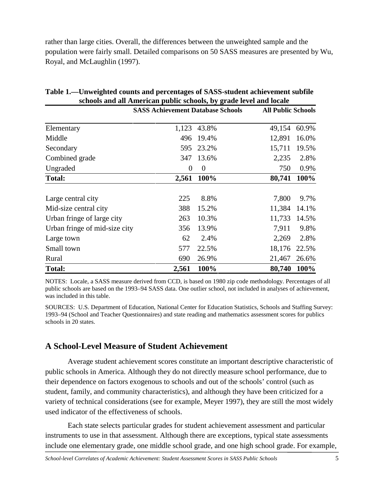rather than large cities. Overall, the differences between the unweighted sample and the population were fairly small. Detailed comparisons on 50 SASS measures are presented by Wu, Royal, and McLaughlin (1997).

|                               | <b>SASS Achievement Database Schools</b> | <b>All Public Schools</b> |        |       |
|-------------------------------|------------------------------------------|---------------------------|--------|-------|
| Elementary                    | 1,123                                    | 43.8%                     | 49,154 | 60.9% |
| Middle                        | 496                                      | 19.4%                     | 12,891 | 16.0% |
| Secondary                     | 595                                      | 23.2%                     | 15,711 | 19.5% |
| Combined grade                | 347                                      | 13.6%                     | 2,235  | 2.8%  |
| Ungraded                      | $\theta$                                 | $\overline{0}$            | 750    | 0.9%  |
| <b>Total:</b>                 | 2,561                                    | 100%                      | 80,741 | 100%  |
|                               |                                          |                           |        |       |
| Large central city            | 225                                      | 8.8%                      | 7,800  | 9.7%  |
| Mid-size central city         | 388                                      | 15.2%                     | 11,384 | 14.1% |
| Urban fringe of large city    | 263                                      | 10.3%                     | 11,733 | 14.5% |
| Urban fringe of mid-size city | 356                                      | 13.9%                     | 7,911  | 9.8%  |
| Large town                    | 62                                       | 2.4%                      | 2,269  | 2.8%  |
| Small town                    | 577                                      | 22.5%                     | 18,176 | 22.5% |
| Rural                         | 690                                      | 26.9%                     | 21,467 | 26.6% |
| <b>Total:</b>                 | 2,561                                    | 100%                      | 80,740 | 100%  |

## **Table 1.—Unweighted counts and percentages of SASS-student achievement subfile schools and all American public schools, by grade level and locale**

NOTES: Locale, a SASS measure derived from CCD, is based on 1980 zip code methodology. Percentages of all public schools are based on the 1993–94 SASS data. One outlier school, not included in analyses of achievement, was included in this table.

SOURCES: U.S. Department of Education, National Center for Education Statistics, Schools and Staffing Survey: 1993–94 (School and Teacher Questionnaires) and state reading and mathematics assessment scores for publics schools in 20 states.

# **A School-Level Measure of Student Achievement**

Average student achievement scores constitute an important descriptive characteristic of public schools in America. Although they do not directly measure school performance, due to their dependence on factors exogenous to schools and out of the schools' control (such as student, family, and community characteristics), and although they have been criticized for a variety of technical considerations (see for example, Meyer 1997), they are still the most widely used indicator of the effectiveness of schools.

Each state selects particular grades for student achievement assessment and particular instruments to use in that assessment. Although there are exceptions, typical state assessments include one elementary grade, one middle school grade, and one high school grade. For example,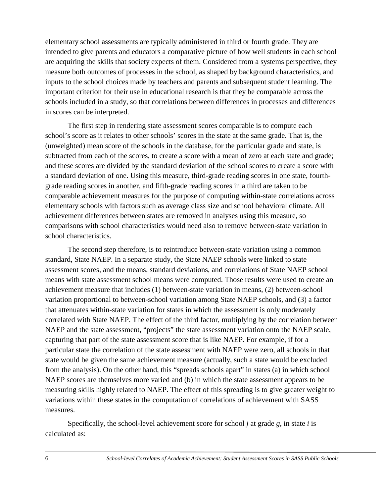elementary school assessments are typically administered in third or fourth grade. They are intended to give parents and educators a comparative picture of how well students in each school are acquiring the skills that society expects of them. Considered from a systems perspective, they measure both outcomes of processes in the school, as shaped by background characteristics, and inputs to the school choices made by teachers and parents and subsequent student learning. The important criterion for their use in educational research is that they be comparable across the schools included in a study, so that correlations between differences in processes and differences in scores can be interpreted.

The first step in rendering state assessment scores comparable is to compute each school's score as it relates to other schools' scores in the state at the same grade. That is, the (unweighted) mean score of the schools in the database, for the particular grade and state, is subtracted from each of the scores, to create a score with a mean of zero at each state and grade; and these scores are divided by the standard deviation of the school scores to create a score with a standard deviation of one. Using this measure, third-grade reading scores in one state, fourthgrade reading scores in another, and fifth-grade reading scores in a third are taken to be comparable achievement measures for the purpose of computing within-state correlations across elementary schools with factors such as average class size and school behavioral climate. All achievement differences between states are removed in analyses using this measure, so comparisons with school characteristics would need also to remove between-state variation in school characteristics.

The second step therefore, is to reintroduce between-state variation using a common standard, State NAEP. In a separate study, the State NAEP schools were linked to state assessment scores, and the means, standard deviations, and correlations of State NAEP school means with state assessment school means were computed. Those results were used to create an achievement measure that includes (1) between-state variation in means, (2) between-school variation proportional to between-school variation among State NAEP schools, and (3) a factor that attenuates within-state variation for states in which the assessment is only moderately correlated with State NAEP. The effect of the third factor, multiplying by the correlation between NAEP and the state assessment, "projects" the state assessment variation onto the NAEP scale, capturing that part of the state assessment score that is like NAEP. For example, if for a particular state the correlation of the state assessment with NAEP were zero, all schools in that state would be given the same achievement measure (actually, such a state would be excluded from the analysis). On the other hand, this "spreads schools apart" in states (a) in which school NAEP scores are themselves more varied and (b) in which the state assessment appears to be measuring skills highly related to NAEP. The effect of this spreading is to give greater weight to variations within these states in the computation of correlations of achievement with SASS measures.

Specifically, the school-level achievement score for school *j* at grade *g*, in state *i* is calculated as: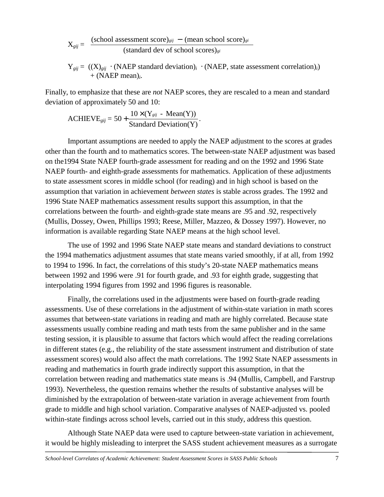$$
X_{gij} = \frac{(school assessment score)_{gij} - (mean school score)_{gi}}{(standard dev of school scores)_{gi}}
$$

$$
Y_{gij} = ((X)_{gij} \cdot (NAEP standard deviation)_i \cdot (NAEP, state assessment correlation)_i)
$$
  
+ (NAEP mean)<sub>i</sub>.

Finally, to emphasize that these are *not* NAEP scores, they are rescaled to a mean and standard deviation of approximately 50 and 10:

$$
ACHIEVE_{gij} = 50 + \frac{10 \times (Y_{gij} - Mean(Y))}{Standard Deviation(Y)}.
$$

Important assumptions are needed to apply the NAEP adjustment to the scores at grades other than the fourth and to mathematics scores. The between-state NAEP adjustment was based on the1994 State NAEP fourth-grade assessment for reading and on the 1992 and 1996 State NAEP fourth- and eighth-grade assessments for mathematics. Application of these adjustments to state assessment scores in middle school (for reading) and in high school is based on the assumption that variation in achievement *between states* is stable across grades. The 1992 and 1996 State NAEP mathematics assessment results support this assumption, in that the correlations between the fourth- and eighth-grade state means are .95 and .92, respectively (Mullis, Dossey, Owen, Phillips 1993; Reese, Miller, Mazzeo, & Dossey 1997). However, no information is available regarding State NAEP means at the high school level.

The use of 1992 and 1996 State NAEP state means and standard deviations to construct the 1994 mathematics adjustment assumes that state means varied smoothly, if at all, from 1992 to 1994 to 1996. In fact, the correlations of this study's 20-state NAEP mathematics means between 1992 and 1996 were .91 for fourth grade, and .93 for eighth grade, suggesting that interpolating 1994 figures from 1992 and 1996 figures is reasonable.

Finally, the correlations used in the adjustments were based on fourth-grade reading assessments. Use of these correlations in the adjustment of within-state variation in math scores assumes that between-state variations in reading and math are highly correlated. Because state assessments usually combine reading and math tests from the same publisher and in the same testing session, it is plausible to assume that factors which would affect the reading correlations in different states (e.g., the reliability of the state assessment instrument and distribution of state assessment scores) would also affect the math correlations. The 1992 State NAEP assessments in reading and mathematics in fourth grade indirectly support this assumption, in that the correlation between reading and mathematics state means is .94 (Mullis, Campbell, and Farstrup 1993). Nevertheless, the question remains whether the results of substantive analyses will be diminished by the extrapolation of between-state variation in average achievement from fourth grade to middle and high school variation. Comparative analyses of NAEP-adjusted vs. pooled within-state findings across school levels, carried out in this study, address this question.

Although State NAEP data were used to capture between-state variation in achievement, it would be highly misleading to interpret the SASS student achievement measures as a surrogate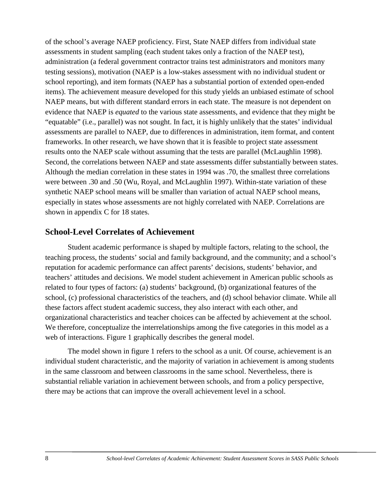of the school's average NAEP proficiency. First, State NAEP differs from individual state assessments in student sampling (each student takes only a fraction of the NAEP test), administration (a federal government contractor trains test administrators and monitors many testing sessions), motivation (NAEP is a low-stakes assessment with no individual student or school reporting), and item formats (NAEP has a substantial portion of extended open-ended items). The achievement measure developed for this study yields an unbiased estimate of school NAEP means, but with different standard errors in each state. The measure is not dependent on evidence that NAEP is *equated* to the various state assessments, and evidence that they might be "equatable" (i.e., parallel) was not sought. In fact, it is highly unlikely that the states' individual assessments are parallel to NAEP, due to differences in administration, item format, and content frameworks. In other research, we have shown that it is feasible to project state assessment results onto the NAEP scale without assuming that the tests are parallel (McLaughlin 1998). Second, the correlations between NAEP and state assessments differ substantially between states. Although the median correlation in these states in 1994 was .70, the smallest three correlations were between .30 and .50 (Wu, Royal, and McLaughlin 1997). Within-state variation of these synthetic NAEP school means will be smaller than variation of actual NAEP school means, especially in states whose assessments are not highly correlated with NAEP. Correlations are shown in appendix C for 18 states.

## **School-Level Correlates of Achievement**

Student academic performance is shaped by multiple factors, relating to the school, the teaching process, the students' social and family background, and the community; and a school's reputation for academic performance can affect parents' decisions, students' behavior, and teachers' attitudes and decisions. We model student achievement in American public schools as related to four types of factors: (a) students' background, (b) organizational features of the school, (c) professional characteristics of the teachers, and (d) school behavior climate. While all these factors affect student academic success, they also interact with each other, and organizational characteristics and teacher choices can be affected by achievement at the school. We therefore, conceptualize the interrelationships among the five categories in this model as a web of interactions. Figure 1 graphically describes the general model.

The model shown in figure 1 refers to the school as a unit. Of course, achievement is an individual student characteristic, and the majority of variation in achievement is among students in the same classroom and between classrooms in the same school. Nevertheless, there is substantial reliable variation in achievement between schools, and from a policy perspective, there may be actions that can improve the overall achievement level in a school.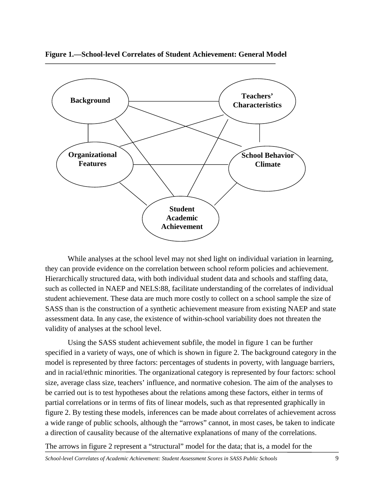

# **Figure 1.—School-level Correlates of Student Achievement: General Model**

While analyses at the school level may not shed light on individual variation in learning, they can provide evidence on the correlation between school reform policies and achievement. Hierarchically structured data, with both individual student data and schools and staffing data, such as collected in NAEP and NELS:88, facilitate understanding of the correlates of individual student achievement. These data are much more costly to collect on a school sample the size of SASS than is the construction of a synthetic achievement measure from existing NAEP and state assessment data. In any case, the existence of within-school variability does not threaten the validity of analyses at the school level.

Using the SASS student achievement subfile, the model in figure 1 can be further specified in a variety of ways, one of which is shown in figure 2. The background category in the model is represented by three factors: percentages of students in poverty, with language barriers, and in racial/ethnic minorities. The organizational category is represented by four factors: school size, average class size, teachers' influence, and normative cohesion. The aim of the analyses to be carried out is to test hypotheses about the relations among these factors, either in terms of partial correlations or in terms of fits of linear models, such as that represented graphically in figure 2. By testing these models, inferences can be made about correlates of achievement across a wide range of public schools, although the "arrows" cannot, in most cases, be taken to indicate a direction of causality because of the alternative explanations of many of the correlations.

The arrows in figure 2 represent a "structural" model for the data; that is, a model for the

*School-level Correlates of Academic Achievement: Student Assessment Scores in SASS Public Schools* 9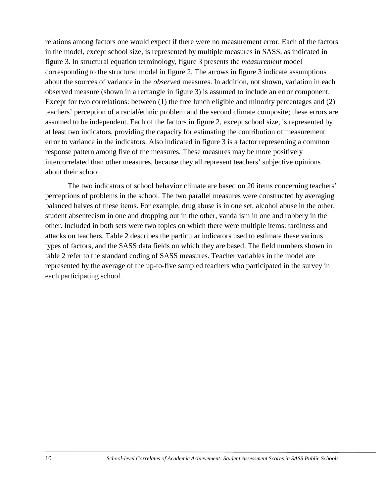relations among factors one would expect if there were no measurement error. Each of the factors in the model, except school size, is represented by multiple measures in SASS, as indicated in figure 3. In structural equation terminology, figure 3 presents the *measurement* model corresponding to the structural model in figure 2*.* The arrows in figure 3 indicate assumptions about the sources of variance in the *observed* measures. In addition, not shown, variation in each observed measure (shown in a rectangle in figure 3) is assumed to include an error component. Except for two correlations: between (1) the free lunch eligible and minority percentages and (2) teachers' perception of a racial/ethnic problem and the second climate composite; these errors are assumed to be independent. Each of the factors in figure 2, except school size, is represented by at least two indicators, providing the capacity for estimating the contribution of measurement error to variance in the indicators. Also indicated in figure 3 is a factor representing a common response pattern among five of the measures. These measures may be more positively intercorrelated than other measures, because they all represent teachers' subjective opinions about their school.

The two indicators of school behavior climate are based on 20 items concerning teachers' perceptions of problems in the school. The two parallel measures were constructed by averaging balanced halves of these items. For example, drug abuse is in one set, alcohol abuse in the other; student absenteeism in one and dropping out in the other, vandalism in one and robbery in the other. Included in both sets were two topics on which there were multiple items: tardiness and attacks on teachers. Table 2 describes the particular indicators used to estimate these various types of factors, and the SASS data fields on which they are based. The field numbers shown in table 2 refer to the standard coding of SASS measures. Teacher variables in the model are represented by the average of the up-to-five sampled teachers who participated in the survey in each participating school.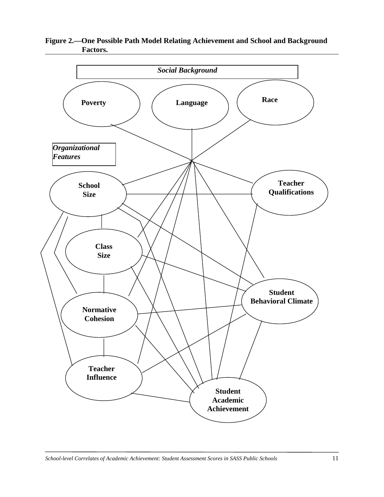

**Figure 2.—One Possible Path Model Relating Achievement and School and Background Factors.**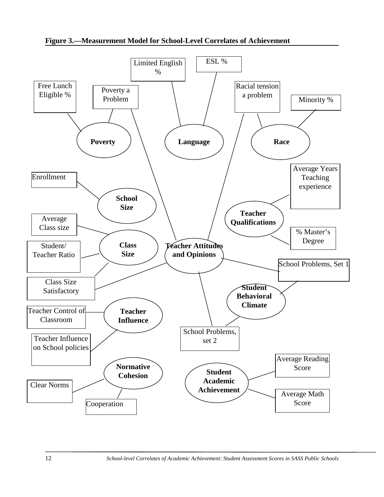

**Figure 3.—Measurement Model for School-Level Correlates of Achievement**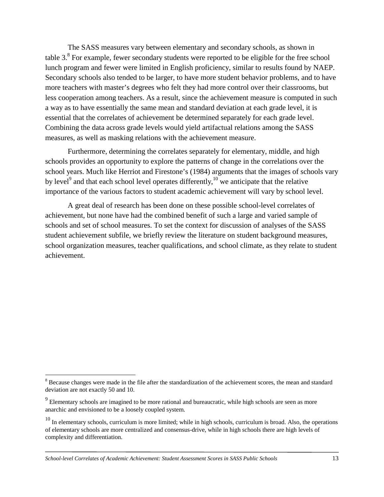The SASS measures vary between elementary and secondary schools, as shown in table  $3.8$  For example, fewer secondary students were reported to be eligible for the free school lunch program and fewer were limited in English proficiency, similar to results found by NAEP. Secondary schools also tended to be larger, to have more student behavior problems, and to have more teachers with master's degrees who felt they had more control over their classrooms, but less cooperation among teachers. As a result, since the achievement measure is computed in such a way as to have essentially the same mean and standard deviation at each grade level, it is essential that the correlates of achievement be determined separately for each grade level. Combining the data across grade levels would yield artifactual relations among the SASS measures, as well as masking relations with the achievement measure.

Furthermore, determining the correlates separately for elementary, middle, and high schools provides an opportunity to explore the patterns of change in the correlations over the school years. Much like Herriot and Firestone's (1984) arguments that the images of schools vary by level<sup>9</sup> and that each school level operates differently,  $10$  we anticipate that the relative importance of the various factors to student academic achievement will vary by school level.

A great deal of research has been done on these possible school-level correlates of achievement, but none have had the combined benefit of such a large and varied sample of schools and set of school measures. To set the context for discussion of analyses of the SASS student achievement subfile, we briefly review the literature on student background measures, school organization measures, teacher qualifications, and school climate, as they relate to student achievement.

<sup>&</sup>lt;sup>8</sup> Because changes were made in the file after the standardization of the achievement scores, the mean and standard deviation are not exactly 50 and 10.

<sup>&</sup>lt;sup>9</sup> Elementary schools are imagined to be more rational and bureaucratic, while high schools are seen as more anarchic and envisioned to be a loosely coupled system.

 $10$  In elementary schools, curriculum is more limited; while in high schools, curriculum is broad. Also, the operations of elementary schools are more centralized and consensus-drive, while in high schools there are high levels of complexity and differentiation.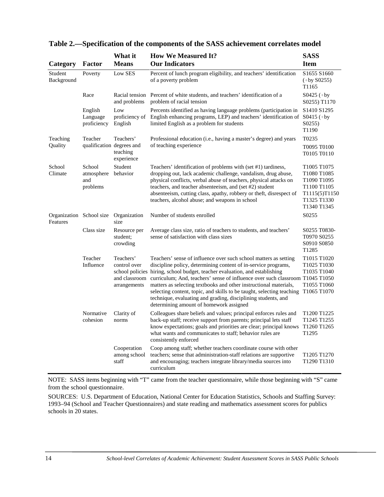|                                      |                                         | What it                                                    | <b>How We Measured It?</b>                                                                                                                                                                                                                                                                                                                                                                                                                                                                                                                                               | <b>SASS</b>                                                                                                                      |
|--------------------------------------|-----------------------------------------|------------------------------------------------------------|--------------------------------------------------------------------------------------------------------------------------------------------------------------------------------------------------------------------------------------------------------------------------------------------------------------------------------------------------------------------------------------------------------------------------------------------------------------------------------------------------------------------------------------------------------------------------|----------------------------------------------------------------------------------------------------------------------------------|
| Category                             | Factor                                  | <b>Means</b>                                               | <b>Our Indicators</b>                                                                                                                                                                                                                                                                                                                                                                                                                                                                                                                                                    | <b>Item</b>                                                                                                                      |
| Student<br>Background                | Poverty                                 | Low SES                                                    | Percent of lunch program eligibility, and teachers' identification<br>of a poverty problem                                                                                                                                                                                                                                                                                                                                                                                                                                                                               | S1655 S1660<br>$(+$ by S0255)<br>T <sub>1165</sub>                                                                               |
|                                      | Race                                    | and problems                                               | Racial tension Percent of white students, and teachers' identification of a<br>problem of racial tension                                                                                                                                                                                                                                                                                                                                                                                                                                                                 | $S0425 (+ by$<br>S0255) T1170                                                                                                    |
|                                      | English<br>Language<br>proficiency      | Low<br>English                                             | Percents identified as having language problems (participation in<br>proficiency of English enhancing programs, LEP) and teachers' identification of $\text{S}0415$ (÷by<br>limited English as a problem for students                                                                                                                                                                                                                                                                                                                                                    | S1410 S1295<br>S(0255)<br>T1190                                                                                                  |
| Teaching<br>Quality                  | Teacher<br>qualification degrees and    | Teachers'<br>teaching<br>experience                        | Professional education (i.e., having a master's degree) and years<br>of teaching experience                                                                                                                                                                                                                                                                                                                                                                                                                                                                              | T0235<br>T0095 T0100<br>T0105 T0110                                                                                              |
| School<br>Climate                    | School<br>atmosphere<br>and<br>problems | Student<br>behavior                                        | Teachers' identification of problems with (set #1) tardiness,<br>dropping out, lack academic challenge, vandalism, drug abuse,<br>physical conflicts, verbal abuse of teachers, physical attacks on<br>teachers, and teacher absenteeism, and (set #2) student<br>absenteeism, cutting class, apathy, robbery or theft, disrespect of<br>teachers, alcohol abuse; and weapons in school                                                                                                                                                                                  | T1005 T1075<br>T1080 T1085<br>T1090 T1095<br>T1100 T1105<br>T <sub>1115</sub> (5)T <sub>1150</sub><br>T1325 T1330<br>T1340 T1345 |
| Organization School size<br>Features |                                         | Organization<br>size                                       | Number of students enrolled                                                                                                                                                                                                                                                                                                                                                                                                                                                                                                                                              | S0255                                                                                                                            |
|                                      | Class size                              | Resource per<br>student;<br>crowding                       | Average class size, ratio of teachers to students, and teachers'<br>sense of satisfaction with class sizes                                                                                                                                                                                                                                                                                                                                                                                                                                                               | S0255 T0830-<br>T0970 S0255<br>S0910 S0850<br>T <sub>1285</sub>                                                                  |
|                                      | Teacher<br>Influence                    | Teachers'<br>control over<br>and classroom<br>arrangements | Teachers' sense of influence over such school matters as setting<br>discipline policy, determining content of in-service programs,<br>school policies hiring, school budget, teacher evaluation, and establishing<br>curriculum; And, teachers' sense of influence over such classroom T1045 T1050<br>matters as selecting textbooks and other instructional materials,<br>selecting content, topic, and skills to be taught, selecting teaching T1065 T1070<br>technique, evaluating and grading, disciplining students, and<br>determining amount of homework assigned | T1015 T1020<br>T1025 T1030<br>T1035 T1040<br>T1055 T1060                                                                         |
|                                      | Normative<br>cohesion                   | Clarity of<br>norms                                        | Colleagues share beliefs and values; principal enforces rules and<br>back-up staff; receive support from parents; principal lets staff<br>know expectations; goals and priorities are clear; principal knows T1260 T1265<br>what wants and communicates to staff; behavior rules are<br>consistently enforced                                                                                                                                                                                                                                                            | T <sub>1200</sub> T <sub>1225</sub><br>T1245 T1255<br>T1295                                                                      |
|                                      |                                         | Cooperation<br>among school<br>staff                       | Coop among staff; whether teachers coordinate course with other<br>teachers; sense that administration-staff relations are supportive<br>and encouraging; teachers integrate library/media sources into<br>curriculum                                                                                                                                                                                                                                                                                                                                                    | T1205 T1270<br>T1290 T1310                                                                                                       |

# **Table 2.—Specification of the components of the SASS achievement correlates model**

NOTE: SASS items beginning with "T" came from the teacher questionnaire, while those beginning with "S" came from the school questionnaire.

SOURCES: U.S. Department of Education, National Center for Education Statistics, Schools and Staffing Survey: 1993–94 (School and Teacher Questionnaires) and state reading and mathematics assessment scores for publics schools in 20 states.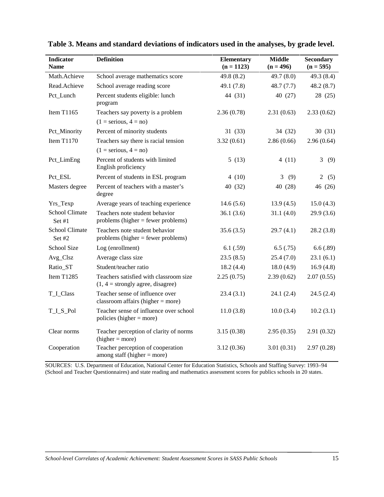| <b>Indicator</b><br><b>Name</b> | <b>Definition</b>                                                             | <b>Elementary</b><br>$(n = 1123)$ | <b>Middle</b><br>$(n = 496)$ | <b>Secondary</b><br>$(n = 595)$ |
|---------------------------------|-------------------------------------------------------------------------------|-----------------------------------|------------------------------|---------------------------------|
| Math.Achieve                    | School average mathematics score                                              | 49.8 (8.2)                        | 49.7 (8.0)                   | 49.3(8.4)                       |
| Read.Achieve                    | School average reading score                                                  | 49.1 (7.8)                        | 48.7(7.7)                    | 48.2(8.7)                       |
| Pct_Lunch                       | Percent students eligible: lunch<br>program                                   | 44 (31)                           | 40 (27)                      | 28 (25)                         |
| Item T1165                      | Teachers say poverty is a problem                                             | 2.36(0.78)                        | 2.31(0.63)                   | 2.33(0.62)                      |
|                                 | $(1 =$ serious, $4 =$ no)                                                     |                                   |                              |                                 |
| Pct_Minority                    | Percent of minority students                                                  | 31(33)                            | 34 (32)                      | 30(31)                          |
| <b>Item T1170</b>               | Teachers say there is racial tension                                          | 3.32(0.61)                        | 2.86(0.66)                   | 2.96(0.64)                      |
|                                 | $(1 =$ serious, $4 =$ no)                                                     |                                   |                              |                                 |
| Pct_LimEng                      | Percent of students with limited<br>English proficiency                       | 5(13)                             | 4(11)                        | 3(9)                            |
| Pct_ESL                         | Percent of students in ESL program                                            | 4(10)                             | 3(9)                         | $\overline{2}$<br>(5)           |
| Masters degree                  | Percent of teachers with a master's<br>degree                                 | 40 (32)                           | 40 (28)                      | 46 (26)                         |
| Yrs_Texp                        | Average years of teaching experience                                          | 14.6(5.6)                         | 13.9(4.5)                    | 15.0(4.3)                       |
| <b>School Climate</b><br>Set #1 | Teachers note student behavior<br>problems (higher $=$ fewer problems)        | 36.1(3.6)                         | 31.1(4.0)                    | 29.9(3.6)                       |
| <b>School Climate</b><br>Set#2  | Teachers note student behavior<br>problems (higher $=$ fewer problems)        | 35.6(3.5)                         | 29.7(4.1)                    | 28.2(3.8)                       |
| School Size                     | Log (enrollment)                                                              | 6.1(.59)                          | 6.5(.75)                     | 6.6(.89)                        |
| Avg_Clsz                        | Average class size                                                            | 23.5(8.5)                         | 25.4(7.0)                    | 23.1(6.1)                       |
| Ratio_ST                        | Student/teacher ratio                                                         | 18.2(4.4)                         | 18.0(4.9)                    | 16.9(4.8)                       |
| <b>Item T1285</b>               | Teachers satisfied with classroom size<br>$(1, 4 =$ strongly agree, disagree) | 2.25(0.75)                        | 2.39(0.62)                   | 2.07(0.55)                      |
| T_I_Class                       | Teacher sense of influence over<br>classroom affairs (higher = more)          | 23.4(3.1)                         | 24.1(2.4)                    | 24.5(2.4)                       |
| T_I_S_Pol                       | Teacher sense of influence over school<br>policies (higher = more)            | 11.0(3.8)                         | 10.0(3.4)                    | 10.2(3.1)                       |
| Clear norms                     | Teacher perception of clarity of norms<br>$(higher = more)$                   | 3.15(0.38)                        | 2.95(0.35)                   | 2.91(0.32)                      |
| Cooperation                     | Teacher perception of cooperation<br>among staff (higher $=$ more)            | 3.12(0.36)                        | 3.01(0.31)                   | 2.97(0.28)                      |

**Table 3. Means and standard deviations of indicators used in the analyses, by grade level.**

SOURCES: U.S. Department of Education, National Center for Education Statistics, Schools and Staffing Survey: 1993–94 (School and Teacher Questionnaires) and state reading and mathematics assessment scores for publics schools in 20 states.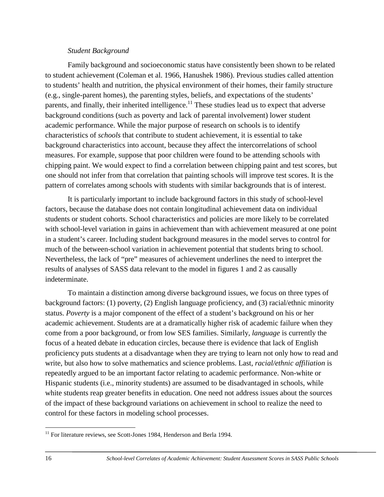#### *Student Background*

Family background and socioeconomic status have consistently been shown to be related to student achievement (Coleman et al. 1966, Hanushek 1986). Previous studies called attention to students' health and nutrition, the physical environment of their homes, their family structure (e.g., single-parent homes), the parenting styles, beliefs, and expectations of the students' parents, and finally, their inherited intelligence.<sup>11</sup> These studies lead us to expect that adverse background conditions (such as poverty and lack of parental involvement) lower student academic performance. While the major purpose of research on schools is to identify characteristics of *schools* that contribute to student achievement, it is essential to take background characteristics into account, because they affect the intercorrelations of school measures. For example, suppose that poor children were found to be attending schools with chipping paint. We would expect to find a correlation between chipping paint and test scores, but one should not infer from that correlation that painting schools will improve test scores. It is the pattern of correlates among schools with students with similar backgrounds that is of interest.

It is particularly important to include background factors in this study of school-level factors, because the database does not contain longitudinal achievement data on individual students or student cohorts. School characteristics and policies are more likely to be correlated with school-level variation in gains in achievement than with achievement measured at one point in a student's career. Including student background measures in the model serves to control for much of the between-school variation in achievement potential that students bring to school. Nevertheless, the lack of "pre" measures of achievement underlines the need to interpret the results of analyses of SASS data relevant to the model in figures 1 and 2 as causally indeterminate.

To maintain a distinction among diverse background issues, we focus on three types of background factors: (1) poverty, (2) English language proficiency, and (3) racial/ethnic minority status. *Poverty* is a major component of the effect of a student's background on his or her academic achievement. Students are at a dramatically higher risk of academic failure when they come from a poor background, or from low SES families. Similarly, *language* is currently the focus of a heated debate in education circles, because there is evidence that lack of English proficiency puts students at a disadvantage when they are trying to learn not only how to read and write, but also how to solve mathematics and science problems. Last, *racial/ethnic affiliation* is repeatedly argued to be an important factor relating to academic performance. Non-white or Hispanic students (i.e., minority students) are assumed to be disadvantaged in schools, while white students reap greater benefits in education. One need not address issues about the sources of the impact of these background variations on achievement in school to realize the need to control for these factors in modeling school processes.

<sup>&</sup>lt;sup>11</sup> For literature reviews, see Scott-Jones 1984, Henderson and Berla 1994.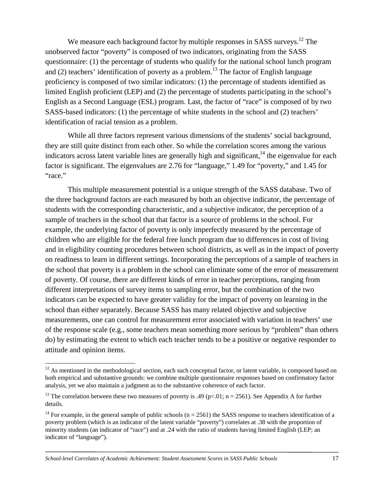We measure each background factor by multiple responses in SASS surveys.<sup>12</sup> The unobserved factor "poverty" is composed of two indicators, originating from the SASS questionnaire: (1) the percentage of students who qualify for the national school lunch program and (2) teachers' identification of poverty as a problem.<sup>13</sup> The factor of English language proficiency is composed of two similar indicators: (1) the percentage of students identified as limited English proficient (LEP) and (2) the percentage of students participating in the school's English as a Second Language (ESL) program. Last, the factor of "race" is composed of by two SASS-based indicators: (1) the percentage of white students in the school and (2) teachers' identification of racial tension as a problem.

While all three factors represent various dimensions of the students' social background, they are still quite distinct from each other. So while the correlation scores among the various indicators across latent variable lines are generally high and significant,  $14$  the eigenvalue for each factor is significant. The eigenvalues are 2.76 for "language," 1.49 for "poverty," and 1.45 for "race."

This multiple measurement potential is a unique strength of the SASS database. Two of the three background factors are each measured by both an objective indicator, the percentage of students with the corresponding characteristic, and a subjective indicator, the perception of a sample of teachers in the school that that factor is a source of problems in the school. For example, the underlying factor of poverty is only imperfectly measured by the percentage of children who are eligible for the federal free lunch program due to differences in cost of living and in eligibility counting procedures between school districts, as well as in the impact of poverty on readiness to learn in different settings. Incorporating the perceptions of a sample of teachers in the school that poverty is a problem in the school can eliminate some of the error of measurement of poverty. Of course, there are different kinds of error in teacher perceptions, ranging from different interpretations of survey items to sampling error, but the combination of the two indicators can be expected to have greater validity for the impact of poverty on learning in the school than either separately. Because SASS has many related objective and subjective measurements, one can control for measurement error associated with variation in teachers' use of the response scale (e.g., some teachers mean something more serious by "problem" than others do) by estimating the extent to which each teacher tends to be a positive or negative responder to attitude and opinion items.

 $12$  As mentioned in the methodological section, each such conceptual factor, or latent variable, is composed based on both empirical and substantive grounds: we combine multiple questionnaire responses based on confirmatory factor analysis, yet we also maintain a judgment as to the substantive coherence of each factor.

<sup>&</sup>lt;sup>13</sup> The correlation between these two measures of poverty is .49 ( $p<.01$ ; n = 2561). See Appendix A for further details.

<sup>&</sup>lt;sup>14</sup> For example, in the general sample of public schools ( $n = 2561$ ) the SASS response to teachers identification of a poverty problem (which is an indicator of the latent variable "poverty") correlates at .38 with the proportion of minority students (an indicator of "race") and at .24 with the ratio of students having limited English (LEP; an indicator of "language").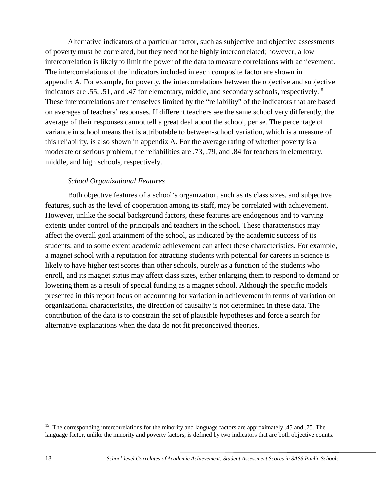Alternative indicators of a particular factor, such as subjective and objective assessments of poverty must be correlated, but they need not be highly intercorrelated; however, a low intercorrelation is likely to limit the power of the data to measure correlations with achievement. The intercorrelations of the indicators included in each composite factor are shown in appendix A. For example, for poverty, the intercorrelations between the objective and subjective indicators are .55, .51, and .47 for elementary, middle, and secondary schools, respectively.<sup>15</sup> These intercorrelations are themselves limited by the "reliability" of the indicators that are based on averages of teachers' responses. If different teachers see the same school very differently, the average of their responses cannot tell a great deal about the school, per se. The percentage of variance in school means that is attributable to between-school variation, which is a measure of this reliability, is also shown in appendix A. For the average rating of whether poverty is a moderate or serious problem, the reliabilities are .73, .79, and .84 for teachers in elementary, middle, and high schools, respectively.

## *School Organizational Features*

Both objective features of a school's organization, such as its class sizes, and subjective features, such as the level of cooperation among its staff, may be correlated with achievement. However, unlike the social background factors, these features are endogenous and to varying extents under control of the principals and teachers in the school. These characteristics may affect the overall goal attainment of the school, as indicated by the academic success of its students; and to some extent academic achievement can affect these characteristics. For example, a magnet school with a reputation for attracting students with potential for careers in science is likely to have higher test scores than other schools, purely as a function of the students who enroll, and its magnet status may affect class sizes, either enlarging them to respond to demand or lowering them as a result of special funding as a magnet school. Although the specific models presented in this report focus on accounting for variation in achievement in terms of variation on organizational characteristics, the direction of causality is not determined in these data. The contribution of the data is to constrain the set of plausible hypotheses and force a search for alternative explanations when the data do not fit preconceived theories.

<sup>&</sup>lt;sup>15</sup> The corresponding intercorrelations for the minority and language factors are approximately .45 and .75. The language factor, unlike the minority and poverty factors, is defined by two indicators that are both objective counts.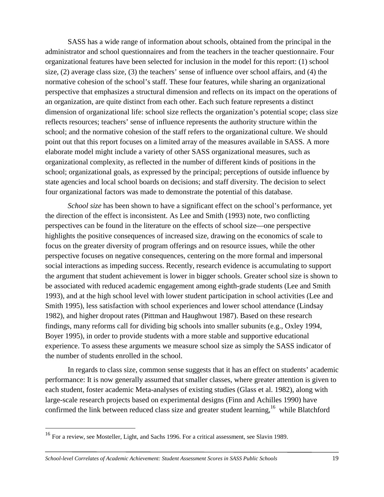SASS has a wide range of information about schools, obtained from the principal in the administrator and school questionnaires and from the teachers in the teacher questionnaire. Four organizational features have been selected for inclusion in the model for this report: (1) school size, (2) average class size, (3) the teachers' sense of influence over school affairs, and (4) the normative cohesion of the school's staff. These four features, while sharing an organizational perspective that emphasizes a structural dimension and reflects on its impact on the operations of an organization, are quite distinct from each other. Each such feature represents a distinct dimension of organizational life: school size reflects the organization's potential scope; class size reflects resources; teachers' sense of influence represents the authority structure within the school; and the normative cohesion of the staff refers to the organizational culture. We should point out that this report focuses on a limited array of the measures available in SASS. A more elaborate model might include a variety of other SASS organizational measures, such as organizational complexity, as reflected in the number of different kinds of positions in the school; organizational goals, as expressed by the principal; perceptions of outside influence by state agencies and local school boards on decisions; and staff diversity. The decision to select four organizational factors was made to demonstrate the potential of this database.

*School size* has been shown to have a significant effect on the school's performance, yet the direction of the effect is inconsistent. As Lee and Smith (1993) note, two conflicting perspectives can be found in the literature on the effects of school size—one perspective highlights the positive consequences of increased size, drawing on the economics of scale to focus on the greater diversity of program offerings and on resource issues, while the other perspective focuses on negative consequences, centering on the more formal and impersonal social interactions as impeding success. Recently, research evidence is accumulating to support the argument that student achievement is lower in bigger schools. Greater school size is shown to be associated with reduced academic engagement among eighth-grade students (Lee and Smith 1993), and at the high school level with lower student participation in school activities (Lee and Smith 1995), less satisfaction with school experiences and lower school attendance (Lindsay 1982), and higher dropout rates (Pittman and Haughwout 1987). Based on these research findings, many reforms call for dividing big schools into smaller subunits (e.g., Oxley 1994, Boyer 1995), in order to provide students with a more stable and supportive educational experience. To assess these arguments we measure school size as simply the SASS indicator of the number of students enrolled in the school.

In regards to class size, common sense suggests that it has an effect on students' academic performance: It is now generally assumed that smaller classes, where greater attention is given to each student, foster academic Meta-analyses of existing studies (Glass et al. 1982), along with large-scale research projects based on experimental designs (Finn and Achilles 1990) have confirmed the link between reduced class size and greater student learning,<sup>16</sup> while Blatchford

<sup>&</sup>lt;sup>16</sup> For a review, see Mosteller, Light, and Sachs 1996. For a critical assessment, see Slavin 1989.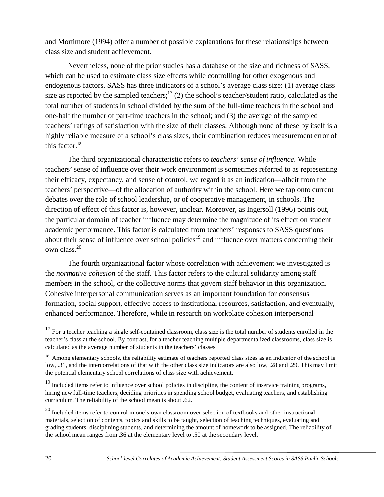and Mortimore (1994) offer a number of possible explanations for these relationships between class size and student achievement.

Nevertheless, none of the prior studies has a database of the size and richness of SASS, which can be used to estimate class size effects while controlling for other exogenous and endogenous factors. SASS has three indicators of a school's average class size: (1) average class size as reported by the sampled teachers;<sup>17</sup> (2) the school's teacher/student ratio, calculated as the total number of students in school divided by the sum of the full-time teachers in the school and one-half the number of part-time teachers in the school; and (3) the average of the sampled teachers' ratings of satisfaction with the size of their classes. Although none of these by itself is a highly reliable measure of a school's class sizes, their combination reduces measurement error of this factor.<sup>18</sup>

The third organizational characteristic refers to *teachers' sense of influence*. While teachers' sense of influence over their work environment is sometimes referred to as representing their efficacy, expectancy, and sense of control, we regard it as an indication—albeit from the teachers' perspective—of the allocation of authority within the school. Here we tap onto current debates over the role of school leadership, or of cooperative management, in schools. The direction of effect of this factor is, however, unclear. Moreover, as Ingersoll (1996) points out, the particular domain of teacher influence may determine the magnitude of its effect on student academic performance. This factor is calculated from teachers' responses to SASS questions about their sense of influence over school policies<sup>19</sup> and influence over matters concerning their own class.20

The fourth organizational factor whose correlation with achievement we investigated is the *normative cohesion* of the staff. This factor refers to the cultural solidarity among staff members in the school, or the collective norms that govern staff behavior in this organization. Cohesive interpersonal communication serves as an important foundation for consensus formation, social support, effective access to institutional resources, satisfaction, and eventually, enhanced performance. Therefore, while in research on workplace cohesion interpersonal

 $17$  For a teacher teaching a single self-contained classroom, class size is the total number of students enrolled in the teacher's class at the school. By contrast, for a teacher teaching multiple departmentalized classrooms, class size is calculated as the average number of students in the teachers' classes.

<sup>&</sup>lt;sup>18</sup> Among elementary schools, the reliability estimate of teachers reported class sizes as an indicator of the school is low, .31, and the intercorrelations of that with the other class size indicators are also low, .28 and .29. This may limit the potential elementary school correlations of class size with achievement.

<sup>&</sup>lt;sup>19</sup> Included items refer to influence over school policies in discipline, the content of inservice training programs, hiring new full-time teachers, deciding priorities in spending school budget, evaluating teachers, and establishing curriculum. The reliability of the school mean is about .62.

<sup>&</sup>lt;sup>20</sup> Included items refer to control in one's own classroom over selection of textbooks and other instructional materials, selection of contents, topics and skills to be taught, selection of teaching techniques, evaluating and grading students, disciplining students, and determining the amount of homework to be assigned. The reliability of the school mean ranges from .36 at the elementary level to .50 at the secondary level.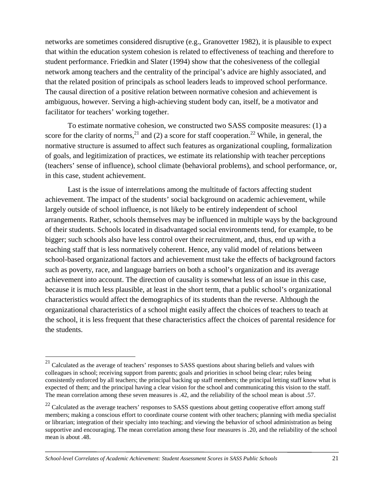networks are sometimes considered disruptive (e.g., Granovetter 1982), it is plausible to expect that within the education system cohesion is related to effectiveness of teaching and therefore to student performance. Friedkin and Slater (1994) show that the cohesiveness of the collegial network among teachers and the centrality of the principal's advice are highly associated, and that the related position of principals as school leaders leads to improved school performance. The causal direction of a positive relation between normative cohesion and achievement is ambiguous, however. Serving a high-achieving student body can, itself, be a motivator and facilitator for teachers' working together.

To estimate normative cohesion, we constructed two SASS composite measures: (1) a score for the clarity of norms,  $^{21}$  and (2) a score for staff cooperation.<sup>22</sup> While, in general, the normative structure is assumed to affect such features as organizational coupling, formalization of goals, and legitimization of practices, we estimate its relationship with teacher perceptions (teachers' sense of influence), school climate (behavioral problems), and school performance, or, in this case, student achievement.

Last is the issue of interrelations among the multitude of factors affecting student achievement. The impact of the students' social background on academic achievement, while largely outside of school influence, is not likely to be entirely independent of school arrangements. Rather, schools themselves may be influenced in multiple ways by the background of their students. Schools located in disadvantaged social environments tend, for example, to be bigger; such schools also have less control over their recruitment, and, thus, end up with a teaching staff that is less normatively coherent. Hence, any valid model of relations between school-based organizational factors and achievement must take the effects of background factors such as poverty, race, and language barriers on both a school's organization and its average achievement into account. The direction of causality is somewhat less of an issue in this case, because it is much less plausible, at least in the short term, that a public school's organizational characteristics would affect the demographics of its students than the reverse. Although the organizational characteristics of a school might easily affect the choices of teachers to teach at the school, it is less frequent that these characteristics affect the choices of parental residence for the students.

 $21$  Calculated as the average of teachers' responses to SASS questions about sharing beliefs and values with colleagues in school; receiving support from parents; goals and priorities in school being clear; rules being consistently enforced by all teachers; the principal backing up staff members; the principal letting staff know what is expected of them; and the principal having a clear vision for the school and communicating this vision to the staff. The mean correlation among these seven measures is .42, and the reliability of the school mean is about .57.

 $22$  Calculated as the average teachers' responses to SASS questions about getting cooperative effort among staff members; making a conscious effort to coordinate course content with other teachers; planning with media specialist or librarian; integration of their specialty into teaching; and viewing the behavior of school administration as being supportive and encouraging. The mean correlation among these four measures is .20, and the reliability of the school mean is about .48.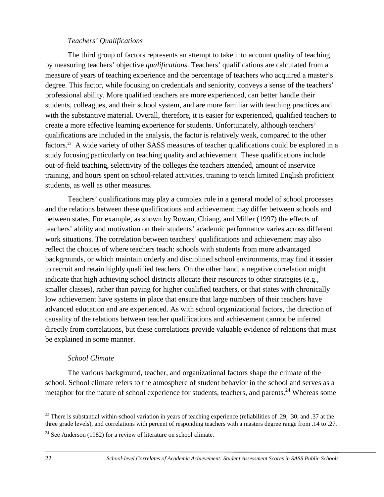## *Teachers' Qualifications*

The third group of factors represents an attempt to take into account quality of teaching by measuring teachers' objective *qualifications*. Teachers' qualifications are calculated from a measure of years of teaching experience and the percentage of teachers who acquired a master's degree. This factor, while focusing on credentials and seniority, conveys a sense of the teachers' professional ability. More qualified teachers are more experienced, can better handle their students, colleagues, and their school system, and are more familiar with teaching practices and with the substantive material. Overall, therefore, it is easier for experienced, qualified teachers to create a more effective learning experience for students. Unfortunately, although teachers' qualifications are included in the analysis, the factor is relatively weak, compared to the other factors.23 A wide variety of other SASS measures of teacher qualifications could be explored in a study focusing particularly on teaching quality and achievement. These qualifications include out-of-field teaching, selectivity of the colleges the teachers attended, amount of inservice training, and hours spent on school-related activities, training to teach limited English proficient students, as well as other measures.

Teachers' qualifications may play a complex role in a general model of school processes and the relations between these qualifications and achievement may differ between schools and between states. For example, as shown by Rowan, Chiang, and Miller (1997) the effects of teachers' ability and motivation on their students' academic performance varies across different work situations. The correlation between teachers' qualifications and achievement may also reflect the choices of where teachers teach: schools with students from more advantaged backgrounds, or which maintain orderly and disciplined school environments, may find it easier to recruit and retain highly qualified teachers. On the other hand, a negative correlation might indicate that high achieving school districts allocate their resources to other strategies (e.g., smaller classes), rather than paying for higher qualified teachers, or that states with chronically low achievement have systems in place that ensure that large numbers of their teachers have advanced education and are experienced. As with school organizational factors, the direction of causality of the relations between teacher qualifications and achievement cannot be inferred directly from correlations, but these correlations provide valuable evidence of relations that must be explained in some manner.

### *School Climate*

The various background, teacher, and organizational factors shape the climate of the school. School climate refers to the atmosphere of student behavior in the school and serves as a metaphor for the nature of school experience for students, teachers, and parents.<sup>24</sup> Whereas some

 $23$  There is substantial within-school variation in years of teaching experience (reliabilities of .29, .30, and .37 at the three grade levels), and correlations with percent of responding teachers with a masters degree range from .14 to .27.

 $24$  See Anderson (1982) for a review of literature on school climate.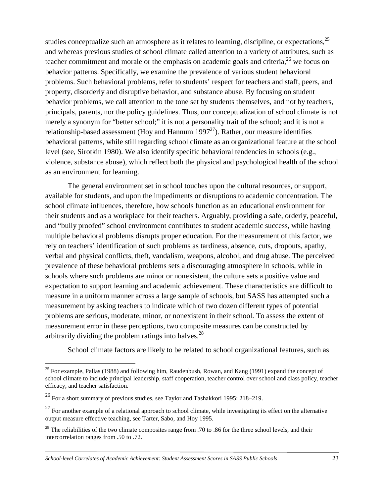studies conceptualize such an atmosphere as it relates to learning, discipline, or expectations,<sup>25</sup> and whereas previous studies of school climate called attention to a variety of attributes, such as teacher commitment and morale or the emphasis on academic goals and criteria,  $2<sup>6</sup>$  we focus on behavior patterns. Specifically, we examine the prevalence of various student behavioral problems. Such behavioral problems, refer to students' respect for teachers and staff, peers, and property, disorderly and disruptive behavior, and substance abuse. By focusing on student behavior problems, we call attention to the tone set by students themselves, and not by teachers, principals, parents, nor the policy guidelines. Thus, our conceptualization of school climate is not merely a synonym for "better school;" it is not a personality trait of the school; and it is not a relationship-based assessment (Hoy and Hannum 1997<sup>27</sup>). Rather, our measure identifies behavioral patterns, while still regarding school climate as an organizational feature at the school level (see, Sirotkin 1980). We also identify specific behavioral tendencies in schools (e.g., violence, substance abuse), which reflect both the physical and psychological health of the school as an environment for learning.

The general environment set in school touches upon the cultural resources, or support, available for students, and upon the impediments or disruptions to academic concentration. The school climate influences, therefore, how schools function as an educational environment for their students and as a workplace for their teachers. Arguably, providing a safe, orderly, peaceful, and "bully proofed" school environment contributes to student academic success, while having multiple behavioral problems disrupts proper education. For the measurement of this factor, we rely on teachers' identification of such problems as tardiness, absence, cuts, dropouts, apathy, verbal and physical conflicts, theft, vandalism, weapons, alcohol, and drug abuse. The perceived prevalence of these behavioral problems sets a discouraging atmosphere in schools, while in schools where such problems are minor or nonexistent, the culture sets a positive value and expectation to support learning and academic achievement. These characteristics are difficult to measure in a uniform manner across a large sample of schools, but SASS has attempted such a measurement by asking teachers to indicate which of two dozen different types of potential problems are serious, moderate, minor, or nonexistent in their school. To assess the extent of measurement error in these perceptions, two composite measures can be constructed by arbitrarily dividing the problem ratings into halves.<sup>28</sup>

School climate factors are likely to be related to school organizational features, such as

<sup>&</sup>lt;sup>25</sup> For example, Pallas (1988) and following him, Raudenbush, Rowan, and Kang (1991) expand the concept of school climate to include principal leadership, staff cooperation, teacher control over school and class policy, teacher efficacy, and teacher satisfaction.

<sup>26</sup> For a short summary of previous studies, see Taylor and Tashakkori 1995: 218–219.

 $^{27}$  For another example of a relational approach to school climate, while investigating its effect on the alternative output measure effective teaching, see Tarter, Sabo, and Hoy 1995.

<sup>&</sup>lt;sup>28</sup> The reliabilities of the two climate composites range from .70 to .86 for the three school levels, and their intercorrelation ranges from .50 to .72.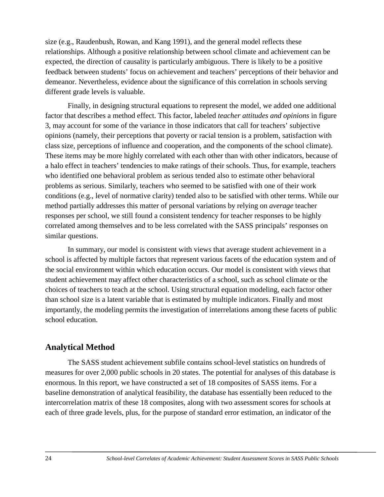size (e.g., Raudenbush, Rowan, and Kang 1991), and the general model reflects these relationships. Although a positive relationship between school climate and achievement can be expected, the direction of causality is particularly ambiguous. There is likely to be a positive feedback between students' focus on achievement and teachers' perceptions of their behavior and demeanor. Nevertheless, evidence about the significance of this correlation in schools serving different grade levels is valuable.

Finally, in designing structural equations to represent the model, we added one additional factor that describes a method effect. This factor, labeled *teacher attitudes and opinions* in figure 3, may account for some of the variance in those indicators that call for teachers' subjective opinions (namely, their perceptions that poverty or racial tension is a problem, satisfaction with class size, perceptions of influence and cooperation, and the components of the school climate). These items may be more highly correlated with each other than with other indicators, because of a halo effect in teachers' tendencies to make ratings of their schools. Thus, for example, teachers who identified one behavioral problem as serious tended also to estimate other behavioral problems as serious. Similarly, teachers who seemed to be satisfied with one of their work conditions (e.g., level of normative clarity) tended also to be satisfied with other terms. While our method partially addresses this matter of personal variations by relying on *average* teacher responses per school, we still found a consistent tendency for teacher responses to be highly correlated among themselves and to be less correlated with the SASS principals' responses on similar questions.

In summary, our model is consistent with views that average student achievement in a school is affected by multiple factors that represent various facets of the education system and of the social environment within which education occurs. Our model is consistent with views that student achievement may affect other characteristics of a school, such as school climate or the choices of teachers to teach at the school. Using structural equation modeling, each factor other than school size is a latent variable that is estimated by multiple indicators. Finally and most importantly, the modeling permits the investigation of interrelations among these facets of public school education.

# **Analytical Method**

The SASS student achievement subfile contains school-level statistics on hundreds of measures for over 2,000 public schools in 20 states. The potential for analyses of this database is enormous. In this report, we have constructed a set of 18 composites of SASS items. For a baseline demonstration of analytical feasibility, the database has essentially been reduced to the intercorrelation matrix of these 18 composites, along with two assessment scores for schools at each of three grade levels, plus, for the purpose of standard error estimation, an indicator of the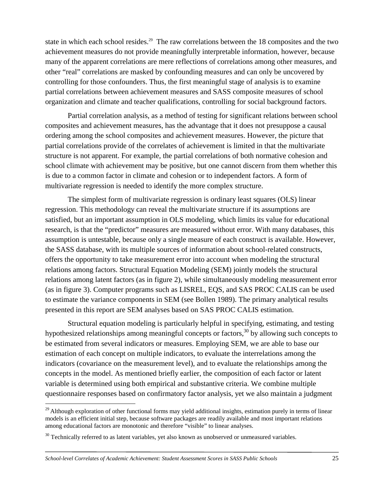state in which each school resides.<sup>29</sup> The raw correlations between the 18 composites and the two achievement measures do not provide meaningfully interpretable information, however, because many of the apparent correlations are mere reflections of correlations among other measures, and other "real" correlations are masked by confounding measures and can only be uncovered by controlling for those confounders. Thus, the first meaningful stage of analysis is to examine partial correlations between achievement measures and SASS composite measures of school organization and climate and teacher qualifications, controlling for social background factors.

Partial correlation analysis, as a method of testing for significant relations between school composites and achievement measures, has the advantage that it does not presuppose a causal ordering among the school composites and achievement measures. However, the picture that partial correlations provide of the correlates of achievement is limited in that the multivariate structure is not apparent. For example, the partial correlations of both normative cohesion and school climate with achievement may be positive, but one cannot discern from them whether this is due to a common factor in climate and cohesion or to independent factors. A form of multivariate regression is needed to identify the more complex structure.

The simplest form of multivariate regression is ordinary least squares (OLS) linear regression. This methodology can reveal the multivariate structure if its assumptions are satisfied, but an important assumption in OLS modeling, which limits its value for educational research, is that the "predictor" measures are measured without error. With many databases, this assumption is untestable, because only a single measure of each construct is available. However, the SASS database, with its multiple sources of information about school-related constructs, offers the opportunity to take measurement error into account when modeling the structural relations among factors. Structural Equation Modeling (SEM) jointly models the structural relations among latent factors (as in figure 2), while simultaneously modeling measurement error (as in figure 3). Computer programs such as LISREL, EQS, and SAS PROC CALIS can be used to estimate the variance components in SEM (see Bollen 1989). The primary analytical results presented in this report are SEM analyses based on SAS PROC CALIS estimation.

Structural equation modeling is particularly helpful in specifying, estimating, and testing hypothesized relationships among meaningful concepts or factors, $30$  by allowing such concepts to be estimated from several indicators or measures. Employing SEM, we are able to base our estimation of each concept on multiple indicators, to evaluate the interrelations among the indicators (covariance on the measurement level), and to evaluate the relationships among the concepts in the model. As mentioned briefly earlier, the composition of each factor or latent variable is determined using both empirical and substantive criteria. We combine multiple questionnaire responses based on confirmatory factor analysis, yet we also maintain a judgment

 $29$  Although exploration of other functional forms may yield additional insights, estimation purely in terms of linear models is an efficient initial step, because software packages are readily available and most important relations among educational factors are monotonic and therefore "visible" to linear analyses.

 $30$  Technically referred to as latent variables, yet also known as unobserved or unmeasured variables.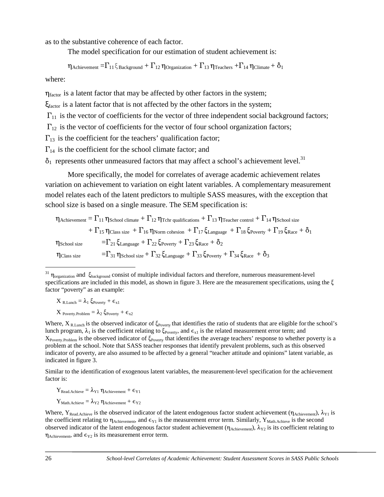as to the substantive coherence of each factor.

The model specification for our estimation of student achievement is:

$$
\eta_{\text{Achievement}} = \Gamma_{11} \xi_{\text{Background}} + \Gamma_{12} \, \eta_{\text{Organization}} + \Gamma_{13} \, \eta_{\text{Teaches}} + \Gamma_{14} \, \eta_{\text{Climate}} + \delta_1
$$

where:

 $\eta_{\text{factor}}$  is a latent factor that may be affected by other factors in the system;

 $\xi_{\text{factor}}$  is a latent factor that is not affected by the other factors in the system;

 $\Gamma_{11}$  is the vector of coefficients for the vector of three independent social background factors;

 $\Gamma_{12}$  is the vector of coefficients for the vector of four school organization factors;

 $\Gamma_{13}$  is the coefficient for the teachers' qualification factor;

 $\Gamma_{14}$  is the coefficient for the school climate factor; and

 $\delta_1$  represents other unmeasured factors that may affect a school's achievement level.<sup>31</sup>

More specifically, the model for correlates of average academic achievement relates variation on achievement to variation on eight latent variables. A complementary measurement model relates each of the latent predictors to multiple SASS measures, with the exception that school size is based on a single measure. The SEM specification is:

$$
\eta_{\text{Achievement}} = \Gamma_{11} \eta_{\text{School climate}} + \Gamma_{12} \eta_{\text{Tchr qualifications}} + \Gamma_{13} \eta_{\text{Teacher control}} + \Gamma_{14} \eta_{\text{School size}} \n+ \Gamma_{15} \eta_{\text{Class size}} + \Gamma_{16} \eta_{\text{Norm cohesion}} + \Gamma_{17} \xi_{\text{Language}} + \Gamma_{18} \xi_{\text{Powerty}} + \Gamma_{19} \xi_{\text{Race}} + \delta_{1} \n\eta_{\text{School size}} = \Gamma_{21} \xi_{\text{Language}} + \Gamma_{22} \xi_{\text{Powerty}} + \Gamma_{23} \xi_{\text{Race}} + \delta_{2} \n= \Gamma_{31} \eta_{\text{School size}} + \Gamma_{32} \xi_{\text{Language}} + \Gamma_{33} \xi_{\text{Powerty}} + \Gamma_{34} \xi_{\text{Race}} + \delta_{3}
$$

 $X_{\text{R.Lunch}} = \lambda_1 \xi_{\text{Powertv}} + \epsilon_{\text{x1}}$ 

 $X$  Poverty.Problem =  $\lambda_2 \xi_{\text{Powerity}} + \epsilon_{\text{x2}}$ 

Where,  $X_{\text{R.Lunch}}$  is the observed indicator of  $\xi_{\text{Power}}$  that identifies the ratio of students that are eligible for the school's lunch program,  $\lambda_1$  is the coefficient relating to  $\xi_{\text{Powerly}}$ , and  $\epsilon_{x1}$  is the related measurement error term; and  $X_{\text{Powerty.Problem}}$  is the observed indicator of  $\xi_{\text{Powerty}}$  that identifies the average teachers' response to whether poverty is a problem at the school. Note that SASS teacher responses that identify prevalent problems, such as this observed indicator of poverty, are also assumed to be affected by a general "teacher attitude and opinions" latent variable, as indicated in figure 3.

Similar to the identification of exogenous latent variables, the measurement-level specification for the achievement factor is:

 $Y_{\text{Read.} \text{Achieve}} = \lambda_{\text{Y1}} \eta_{\text{Achievement}} + \epsilon_{\text{Y1}}$  $Y_{\text{Math.} \text{Achieve}} = \lambda_{Y2} \eta_{\text{Achievement}} + \epsilon_{Y2}$ 

Where,  $Y_{Read.Achieve}$  is the observed indicator of the latent endogenous factor student achievement ( $\eta_{Achievement}$ ),  $\lambda_{Y1}$  is the coefficient relating to  $\eta_{\text{Achiewement}}$ , and  $\epsilon_{Y1}$  is the measurement error term. Similarly,  $Y_{\text{Math.Achieve}}$  is the second observed indicator of the latent endogenous factor student achievement ( $\eta_{\text{Achievement}}$ ),  $\lambda_{Y2}$  is its coefficient relating to  $\eta_{\text{Achievement}}$ , and  $\epsilon_{\text{Y2}}$  is its measurement error term.

 $31$   $\eta_{\text{oranization}}$  and  $\xi_{\text{background}}$  consist of multiple individual factors and therefore, numerous measurement-level specifications are included in this model, as shown in figure 3. Here are the measurement specifications, using the  $\xi$ factor "poverty" as an example: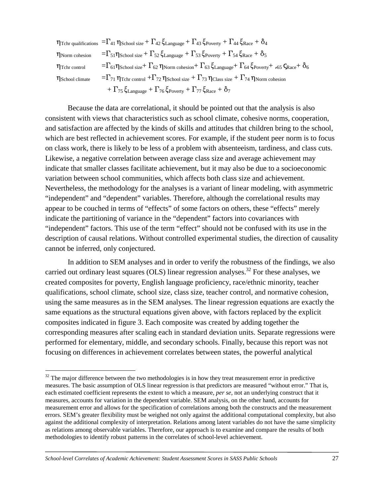|                               | $\eta_{\text{Tchr}}$ qualifications $=\Gamma_{41} \eta_{\text{School size}} + \Gamma_{42} \xi_{\text{Language}} + \Gamma_{43} \xi_{\text{Powerity}} + \Gamma_{44} \xi_{\text{Race}} + \delta_{4}$ |
|-------------------------------|---------------------------------------------------------------------------------------------------------------------------------------------------------------------------------------------------|
| $\eta_{\text{Norm}}$ cohesion | $=\Gamma_{51}\eta_{\text{School size}} + \Gamma_{52}\xi_{\text{Language}} + \Gamma_{53}\xi_{\text{Powerty}} + \Gamma_{54}\xi_{\text{Race}} + \delta_{5}$                                          |
| $\eta$ Tchr control           | $=\Gamma_{61}\eta_{\text{School size}}+\Gamma_{62}\eta_{\text{Norm cohesion}}+\Gamma_{63}\xi_{\text{Language}}+\Gamma_{64}\xi_{\text{Powerty}}+$ ,65 $\zeta_{\text{Race}}+\delta_{6}$             |
| $\eta$ School climate         | $=\Gamma_{71} \eta_{\text{Tchr control}} + \Gamma_{72} \eta_{\text{School size}} + \Gamma_{73} \eta_{\text{Class size}} + \Gamma_{74} \eta_{\text{Norm cohesion}}$                                |
|                               | $+ \Gamma_{75} \xi_{\text{Language}} + \Gamma_{76} \xi_{\text{Powerty}} + \Gamma_{77} \xi_{\text{Race}} + \delta_{7}$                                                                             |

Because the data are correlational, it should be pointed out that the analysis is also consistent with views that characteristics such as school climate, cohesive norms, cooperation, and satisfaction are affected by the kinds of skills and attitudes that children bring to the school, which are best reflected in achievement scores. For example, if the student peer norm is to focus on class work, there is likely to be less of a problem with absenteeism, tardiness, and class cuts. Likewise, a negative correlation between average class size and average achievement may indicate that smaller classes facilitate achievement, but it may also be due to a socioeconomic variation between school communities, which affects both class size and achievement. Nevertheless, the methodology for the analyses is a variant of linear modeling, with asymmetric "independent" and "dependent" variables. Therefore, although the correlational results may appear to be couched in terms of "effects" of some factors on others, these "effects" merely indicate the partitioning of variance in the "dependent" factors into covariances with "independent" factors. This use of the term "effect" should not be confused with its use in the description of causal relations. Without controlled experimental studies, the direction of causality cannot be inferred, only conjectured.

In addition to SEM analyses and in order to verify the robustness of the findings, we also carried out ordinary least squares (OLS) linear regression analyses.<sup>32</sup> For these analyses, we created composites for poverty, English language proficiency, race/ethnic minority, teacher qualifications, school climate, school size, class size, teacher control, and normative cohesion, using the same measures as in the SEM analyses. The linear regression equations are exactly the same equations as the structural equations given above, with factors replaced by the explicit composites indicated in figure 3. Each composite was created by adding together the corresponding measures after scaling each in standard deviation units. Separate regressions were performed for elementary, middle, and secondary schools. Finally, because this report was not focusing on differences in achievement correlates between states, the powerful analytical

*School-level Correlates of Academic Achievement: Student Assessment Scores in SASS Public Schools* 27

 $32$  The major difference between the two methodologies is in how they treat measurement error in predictive measures. The basic assumption of OLS linear regression is that predictors are measured "without error." That is, each estimated coefficient represents the extent to which a measure, *per se*, not an underlying construct that it measures, accounts for variation in the dependent variable. SEM analysis, on the other hand, accounts for measurement error and allows for the specification of correlations among both the constructs and the measurement errors. SEM's greater flexibility must be weighed not only against the additional computational complexity, but also against the additional complexity of interpretation. Relations among latent variables do not have the same simplicity as relations among observable variables. Therefore, our approach is to examine and compare the results of both methodologies to identify robust patterns in the correlates of school-level achievement.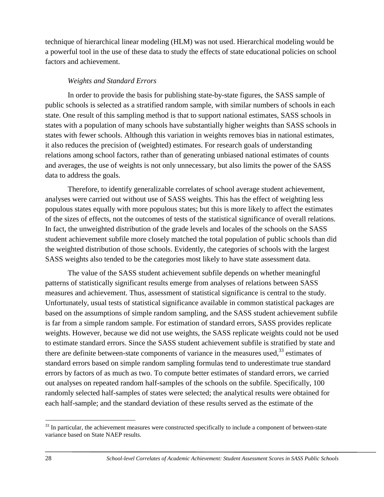technique of hierarchical linear modeling (HLM) was not used. Hierarchical modeling would be a powerful tool in the use of these data to study the effects of state educational policies on school factors and achievement.

#### *Weights and Standard Errors*

In order to provide the basis for publishing state-by-state figures, the SASS sample of public schools is selected as a stratified random sample, with similar numbers of schools in each state. One result of this sampling method is that to support national estimates, SASS schools in states with a population of many schools have substantially higher weights than SASS schools in states with fewer schools. Although this variation in weights removes bias in national estimates, it also reduces the precision of (weighted) estimates. For research goals of understanding relations among school factors, rather than of generating unbiased national estimates of counts and averages, the use of weights is not only unnecessary, but also limits the power of the SASS data to address the goals.

Therefore, to identify generalizable correlates of school average student achievement, analyses were carried out without use of SASS weights. This has the effect of weighting less populous states equally with more populous states; but this is more likely to affect the estimates of the sizes of effects, not the outcomes of tests of the statistical significance of overall relations. In fact, the unweighted distribution of the grade levels and locales of the schools on the SASS student achievement subfile more closely matched the total population of public schools than did the weighted distribution of those schools. Evidently, the categories of schools with the largest SASS weights also tended to be the categories most likely to have state assessment data.

The value of the SASS student achievement subfile depends on whether meaningful patterns of statistically significant results emerge from analyses of relations between SASS measures and achievement. Thus, assessment of statistical significance is central to the study. Unfortunately, usual tests of statistical significance available in common statistical packages are based on the assumptions of simple random sampling, and the SASS student achievement subfile is far from a simple random sample. For estimation of standard errors, SASS provides replicate weights. However, because we did not use weights, the SASS replicate weights could not be used to estimate standard errors. Since the SASS student achievement subfile is stratified by state and there are definite between-state components of variance in the measures used,<sup>33</sup> estimates of standard errors based on simple random sampling formulas tend to underestimate true standard errors by factors of as much as two. To compute better estimates of standard errors, we carried out analyses on repeated random half-samples of the schools on the subfile. Specifically, 100 randomly selected half-samples of states were selected; the analytical results were obtained for each half-sample; and the standard deviation of these results served as the estimate of the

<sup>&</sup>lt;sup>33</sup> In particular, the achievement measures were constructed specifically to include a component of between-state variance based on State NAEP results.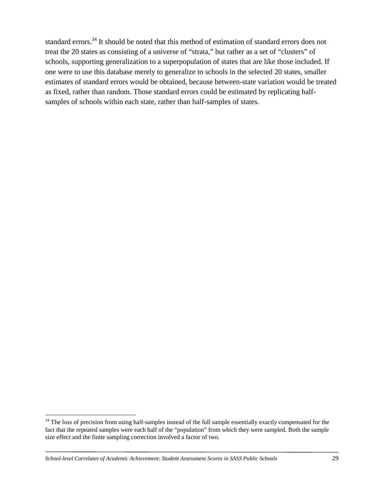standard errors.<sup>34</sup> It should be noted that this method of estimation of standard errors does not treat the 20 states as consisting of a universe of "strata," but rather as a set of "clusters" of schools, supporting generalization to a superpopulation of states that are like those included. If one were to use this database merely to generalize to schools in the selected 20 states, smaller estimates of standard errors would be obtained, because between-state variation would be treated as fixed, rather than random. Those standard errors could be estimated by replicating halfsamples of schools within each state, rather than half-samples of states.

 $\overline{a}$ 

<sup>&</sup>lt;sup>34</sup> The loss of precision from using half-samples instead of the full sample essentially exactly compensated for the fact that the repeated samples were each half of the "population" from which they were sampled. Both the sample size effect and the finite sampling correction involved a factor of two.

*School-level Correlates of Academic Achievement: Student Assessment Scores in SASS Public Schools* 29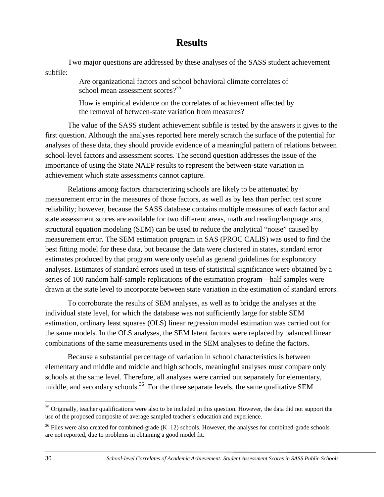## **Results**

Two major questions are addressed by these analyses of the SASS student achievement subfile:

> Are organizational factors and school behavioral climate correlates of school mean assessment scores?<sup>35</sup>

How is empirical evidence on the correlates of achievement affected by the removal of between-state variation from measures?

The value of the SASS student achievement subfile is tested by the answers it gives to the first question. Although the analyses reported here merely scratch the surface of the potential for analyses of these data, they should provide evidence of a meaningful pattern of relations between school-level factors and assessment scores. The second question addresses the issue of the importance of using the State NAEP results to represent the between-state variation in achievement which state assessments cannot capture.

Relations among factors characterizing schools are likely to be attenuated by measurement error in the measures of those factors, as well as by less than perfect test score reliability; however, because the SASS database contains multiple measures of each factor and state assessment scores are available for two different areas, math and reading/language arts, structural equation modeling (SEM) can be used to reduce the analytical "noise" caused by measurement error. The SEM estimation program in SAS (PROC CALIS) was used to find the best fitting model for these data, but because the data were clustered in states, standard error estimates produced by that program were only useful as general guidelines for exploratory analyses. Estimates of standard errors used in tests of statistical significance were obtained by a series of 100 random half-sample replications of the estimation program—half samples were drawn at the state level to incorporate between state variation in the estimation of standard errors.

To corroborate the results of SEM analyses, as well as to bridge the analyses at the individual state level, for which the database was not sufficiently large for stable SEM estimation, ordinary least squares (OLS) linear regression model estimation was carried out for the same models. In the OLS analyses, the SEM latent factors were replaced by balanced linear combinations of the same measurements used in the SEM analyses to define the factors.

Because a substantial percentage of variation in school characteristics is between elementary and middle and middle and high schools, meaningful analyses must compare only schools at the same level. Therefore, all analyses were carried out separately for elementary, middle, and secondary schools.<sup>36</sup> For the three separate levels, the same qualitative SEM

 $\overline{a}$  $35$  Originally, teacher qualifications were also to be included in this question. However, the data did not support the use of the proposed composite of average sampled teacher's education and experience.

 $36$  Files were also created for combined-grade (K–12) schools. However, the analyses for combined-grade schools are not reported, due to problems in obtaining a good model fit.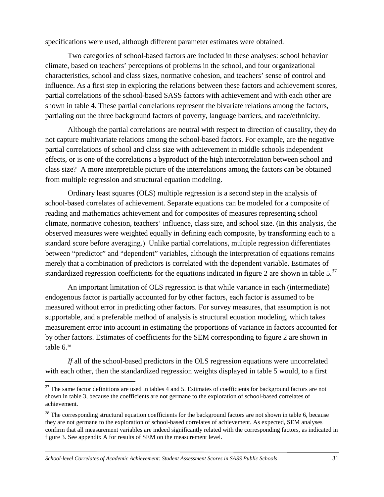specifications were used, although different parameter estimates were obtained.

Two categories of school-based factors are included in these analyses: school behavior climate, based on teachers' perceptions of problems in the school, and four organizational characteristics, school and class sizes, normative cohesion, and teachers' sense of control and influence. As a first step in exploring the relations between these factors and achievement scores, partial correlations of the school-based SASS factors with achievement and with each other are shown in table 4. These partial correlations represent the bivariate relations among the factors, partialing out the three background factors of poverty, language barriers, and race/ethnicity.

Although the partial correlations are neutral with respect to direction of causality, they do not capture multivariate relations among the school-based factors. For example, are the negative partial correlations of school and class size with achievement in middle schools independent effects, or is one of the correlations a byproduct of the high intercorrelation between school and class size? A more interpretable picture of the interrelations among the factors can be obtained from multiple regression and structural equation modeling.

Ordinary least squares (OLS) multiple regression is a second step in the analysis of school-based correlates of achievement. Separate equations can be modeled for a composite of reading and mathematics achievement and for composites of measures representing school climate, normative cohesion, teachers' influence, class size, and school size. (In this analysis, the observed measures were weighted equally in defining each composite, by transforming each to a standard score before averaging.) Unlike partial correlations, multiple regression differentiates between "predictor" and "dependent" variables, although the interpretation of equations remains merely that a combination of predictors is correlated with the dependent variable. Estimates of standardized regression coefficients for the equations indicated in figure 2 are shown in table  $5<sup>37</sup>$ 

An important limitation of OLS regression is that while variance in each (intermediate) endogenous factor is partially accounted for by other factors, each factor is assumed to be measured without error in predicting other factors. For survey measures, that assumption is not supportable, and a preferable method of analysis is structural equation modeling, which takes measurement error into account in estimating the proportions of variance in factors accounted for by other factors. Estimates of coefficients for the SEM corresponding to figure 2 are shown in table 6.38

*If* all of the school-based predictors in the OLS regression equations were uncorrelated with each other, then the standardized regression weights displayed in table 5 would, to a first

 $\overline{a}$ 

 $37$  The same factor definitions are used in tables 4 and 5. Estimates of coefficients for background factors are not shown in table 3, because the coefficients are not germane to the exploration of school-based correlates of achievement.

<sup>&</sup>lt;sup>38</sup> The corresponding structural equation coefficients for the background factors are not shown in table 6, because they are not germane to the exploration of school-based correlates of achievement. As expected, SEM analyses confirm that all measurement variables are indeed significantly related with the corresponding factors, as indicated in figure 3. See appendix A for results of SEM on the measurement level.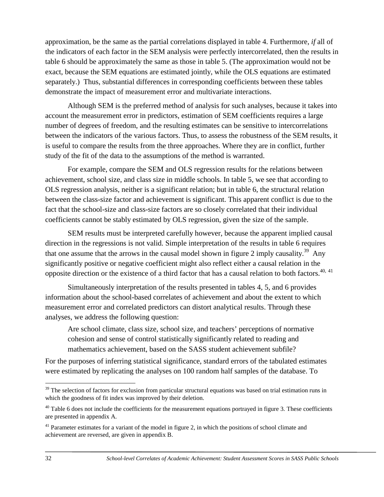approximation, be the same as the partial correlations displayed in table 4. Furthermore, *if* all of the indicators of each factor in the SEM analysis were perfectly intercorrelated, then the results in table 6 should be approximately the same as those in table 5. (The approximation would not be exact, because the SEM equations are estimated jointly, while the OLS equations are estimated separately.) Thus, substantial differences in corresponding coefficients between these tables demonstrate the impact of measurement error and multivariate interactions.

Although SEM is the preferred method of analysis for such analyses, because it takes into account the measurement error in predictors, estimation of SEM coefficients requires a large number of degrees of freedom, and the resulting estimates can be sensitive to intercorrelations between the indicators of the various factors. Thus, to assess the robustness of the SEM results, it is useful to compare the results from the three approaches. Where they are in conflict, further study of the fit of the data to the assumptions of the method is warranted.

For example, compare the SEM and OLS regression results for the relations between achievement, school size, and class size in middle schools. In table 5, we see that according to OLS regression analysis, neither is a significant relation; but in table 6, the structural relation between the class-size factor and achievement is significant. This apparent conflict is due to the fact that the school-size and class-size factors are so closely correlated that their individual coefficients cannot be stably estimated by OLS regression, given the size of the sample.

SEM results must be interpreted carefully however, because the apparent implied causal direction in the regressions is not valid. Simple interpretation of the results in table 6 requires that one assume that the arrows in the causal model shown in figure 2 imply causality.<sup>39</sup> Any significantly positive or negative coefficient might also reflect either a causal relation in the opposite direction or the existence of a third factor that has a causal relation to both factors.<sup>40, 41</sup>

Simultaneously interpretation of the results presented in tables 4, 5, and 6 provides information about the school-based correlates of achievement and about the extent to which measurement error and correlated predictors can distort analytical results. Through these analyses, we address the following question:

Are school climate, class size, school size, and teachers' perceptions of normative cohesion and sense of control statistically significantly related to reading and mathematics achievement, based on the SASS student achievement subfile?

For the purposes of inferring statistical significance, standard errors of the tabulated estimates were estimated by replicating the analyses on 100 random half samples of the database. To

 $\overline{a}$ 

 $39$  The selection of factors for exclusion from particular structural equations was based on trial estimation runs in which the goodness of fit index was improved by their deletion.

 $40$  Table 6 does not include the coefficients for the measurement equations portrayed in figure 3. These coefficients are presented in appendix A.

 $41$  Parameter estimates for a variant of the model in figure 2, in which the positions of school climate and achievement are reversed, are given in appendix B.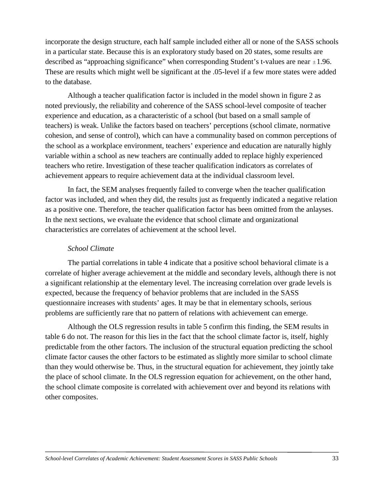incorporate the design structure, each half sample included either all or none of the SASS schools in a particular state. Because this is an exploratory study based on 20 states, some results are described as "approaching significance" when corresponding Student's t-values are near  $\pm 1.96$ . These are results which might well be significant at the .05-level if a few more states were added to the database.

Although a teacher qualification factor is included in the model shown in figure 2 as noted previously, the reliability and coherence of the SASS school-level composite of teacher experience and education, as a characteristic of a school (but based on a small sample of teachers) is weak. Unlike the factors based on teachers' perceptions (school climate, normative cohesion, and sense of control), which can have a communality based on common perceptions of the school as a workplace environment, teachers' experience and education are naturally highly variable within a school as new teachers are continually added to replace highly experienced teachers who retire. Investigation of these teacher qualification indicators as correlates of achievement appears to require achievement data at the individual classroom level.

In fact, the SEM analyses frequently failed to converge when the teacher qualification factor was included, and when they did, the results just as frequently indicated a negative relation as a positive one. Therefore, the teacher qualification factor has been omitted from the anlayses. In the next sections, we evaluate the evidence that school climate and organizational characteristics are correlates of achievement at the school level.

#### *School Climate*

The partial correlations in table 4 indicate that a positive school behavioral climate is a correlate of higher average achievement at the middle and secondary levels, although there is not a significant relationship at the elementary level. The increasing correlation over grade levels is expected, because the frequency of behavior problems that are included in the SASS questionnaire increases with students' ages. It may be that in elementary schools, serious problems are sufficiently rare that no pattern of relations with achievement can emerge.

Although the OLS regression results in table 5 confirm this finding, the SEM results in table 6 do not. The reason for this lies in the fact that the school climate factor is, itself, highly predictable from the other factors. The inclusion of the structural equation predicting the school climate factor causes the other factors to be estimated as slightly more similar to school climate than they would otherwise be. Thus, in the structural equation for achievement, they jointly take the place of school climate. In the OLS regression equation for achievement, on the other hand, the school climate composite is correlated with achievement over and beyond its relations with other composites.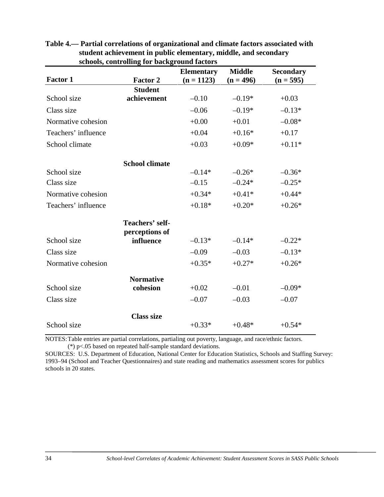|                     |                       | <b>Elementary</b> | <b>Middle</b> | <b>Secondary</b> |
|---------------------|-----------------------|-------------------|---------------|------------------|
| <b>Factor 1</b>     | <b>Factor 2</b>       | $(n = 1123)$      | $(n = 496)$   | $(n = 595)$      |
|                     | <b>Student</b>        |                   |               |                  |
| School size         | achievement           | $-0.10$           | $-0.19*$      | $+0.03$          |
| Class size          |                       | $-0.06$           | $-0.19*$      | $-0.13*$         |
| Normative cohesion  |                       | $+0.00$           | $+0.01$       | $-0.08*$         |
| Teachers' influence |                       | $+0.04$           | $+0.16*$      | $+0.17$          |
| School climate      |                       | $+0.03$           | $+0.09*$      | $+0.11*$         |
|                     | <b>School climate</b> |                   |               |                  |
| School size         |                       | $-0.14*$          | $-0.26*$      | $-0.36*$         |
| Class size          |                       | $-0.15$           | $-0.24*$      | $-0.25*$         |
| Normative cohesion  |                       | $+0.34*$          | $+0.41*$      | $+0.44*$         |
| Teachers' influence |                       | $+0.18*$          | $+0.20*$      | $+0.26*$         |
|                     | Teachers' self-       |                   |               |                  |
|                     | perceptions of        |                   |               |                  |
| School size         | influence             | $-0.13*$          | $-0.14*$      | $-0.22*$         |
| Class size          |                       | $-0.09$           | $-0.03$       | $-0.13*$         |
| Normative cohesion  |                       | $+0.35*$          | $+0.27*$      | $+0.26*$         |
|                     | <b>Normative</b>      |                   |               |                  |
| School size         | cohesion              | $+0.02$           | $-0.01$       | $-0.09*$         |
| Class size          |                       | $-0.07$           | $-0.03$       | $-0.07$          |
|                     | <b>Class size</b>     |                   |               |                  |
| School size         |                       | $+0.33*$          | $+0.48*$      | $+0.54*$         |

#### **Table 4.— Partial correlations of organizational and climate factors associated with student achievement in public elementary, middle, and secondary schools, controlling for background factors**

NOTES:Table entries are partial correlations, partialing out poverty, language, and race/ethnic factors. (\*) p<.05 based on repeated half-sample standard deviations.

SOURCES: U.S. Department of Education, National Center for Education Statistics, Schools and Staffing Survey: 1993–94 (School and Teacher Questionnaires) and state reading and mathematics assessment scores for publics schools in 20 states.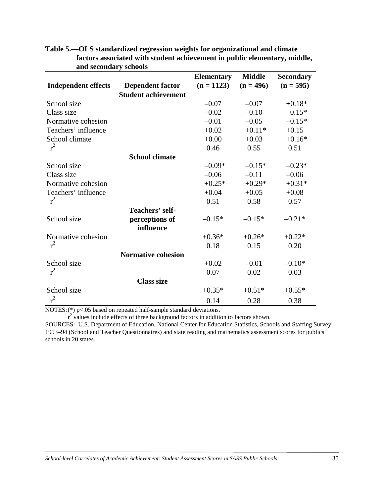| $_{\text{max}}$ becommun $_{\text{J}}$ |                            | <b>Elementary</b> | <b>Middle</b> | <b>Secondary</b> |
|----------------------------------------|----------------------------|-------------------|---------------|------------------|
| <b>Independent effects</b>             | <b>Dependent factor</b>    | $(n = 1123)$      | $(n = 496)$   | $(n = 595)$      |
|                                        | <b>Student achievement</b> |                   |               |                  |
| School size                            |                            | $-0.07$           | $-0.07$       | $+0.18*$         |
| Class size                             |                            | $-0.02$           | $-0.10$       | $-0.15*$         |
| Normative cohesion                     |                            | $-0.01$           | $-0.05$       | $-0.15*$         |
| Teachers' influence                    |                            | $+0.02$           | $+0.11*$      | $+0.15$          |
| School climate                         |                            | $+0.00$           | $+0.03$       | $+0.16*$         |
| $r^2$                                  |                            | 0.46              | 0.55          | 0.51             |
|                                        | <b>School climate</b>      |                   |               |                  |
| School size                            |                            | $-0.09*$          | $-0.15*$      | $-0.23*$         |
| Class size                             |                            | $-0.06$           | $-0.11$       | $-0.06$          |
| Normative cohesion                     |                            | $+0.25*$          | $+0.29*$      | $+0.31*$         |
| Teachers' influence                    |                            | $+0.04$           | $+0.05$       | $+0.08$          |
| $r^2$                                  |                            | 0.51              | 0.58          | 0.57             |
|                                        | Teachers' self-            |                   |               |                  |
| School size                            | perceptions of             | $-0.15*$          | $-0.15*$      | $-0.21*$         |
|                                        | influence                  |                   |               |                  |
| Normative cohesion                     |                            | $+0.36*$          | $+0.26*$      | $+0.22*$         |
| $r^2$                                  |                            | 0.18              | 0.15          | 0.20             |
|                                        | <b>Normative cohesion</b>  |                   |               |                  |
| School size                            |                            | $+0.02$           | $-0.01$       | $-0.10*$         |
| $r^2$                                  |                            | 0.07              | 0.02          | 0.03             |
|                                        | <b>Class size</b>          |                   |               |                  |
| School size                            |                            | $+0.35*$          | $+0.51*$      | $+0.55*$         |
| $r^2$                                  |                            | 0.14              | 0.28          | 0.38             |

**Table 5.—OLS standardized regression weights for organizational and climate factors associated with student achievement in public elementary, middle, and secondary schools**

NOTES:(\*) p<.05 based on repeated half-sample standard deviations.

 $r^2$  values include effects of three background factors in addition to factors shown.

SOURCES: U.S. Department of Education, National Center for Education Statistics, Schools and Staffing Survey: 1993–94 (School and Teacher Questionnaires) and state reading and mathematics assessment scores for publics schools in 20 states.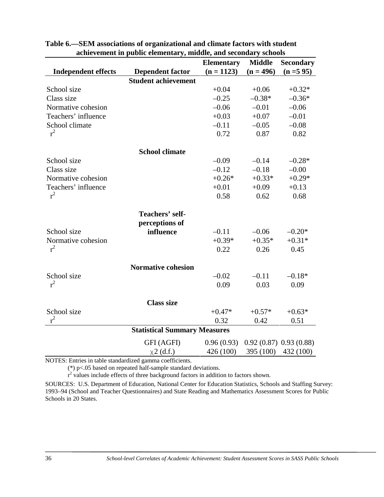|                            |                                     | middle, and becoman, behoors<br>Elementary | <b>Middle</b> | <b>Secondary</b>         |
|----------------------------|-------------------------------------|--------------------------------------------|---------------|--------------------------|
| <b>Independent effects</b> | <b>Dependent factor</b>             | $(n = 1123)$                               | $(n = 496)$   | $(n = 5 95)$             |
|                            | <b>Student achievement</b>          |                                            |               |                          |
| School size                |                                     | $+0.04$                                    | $+0.06$       | $+0.32*$                 |
| Class size                 |                                     | $-0.25$                                    | $-0.38*$      | $-0.36*$                 |
| Normative cohesion         |                                     | $-0.06$                                    | $-0.01$       | $-0.06$                  |
| Teachers' influence        |                                     | $+0.03$                                    | $+0.07$       | $-0.01$                  |
| School climate             |                                     | $-0.11$                                    | $-0.05$       | $-0.08$                  |
| $r^2$                      |                                     | 0.72                                       | 0.87          | 0.82                     |
|                            | <b>School climate</b>               |                                            |               |                          |
| School size                |                                     | $-0.09$                                    | $-0.14$       | $-0.28*$                 |
| Class size                 |                                     | $-0.12$                                    | $-0.18$       | $-0.00$                  |
| Normative cohesion         |                                     | $+0.26*$                                   | $+0.33*$      | $+0.29*$                 |
| Teachers' influence        |                                     | $+0.01$                                    | $+0.09$       | $+0.13$                  |
| $r^2$                      |                                     | 0.58                                       | 0.62          | 0.68                     |
|                            | Teachers' self-<br>perceptions of   |                                            |               |                          |
| School size                | influence                           | $-0.11$                                    | $-0.06$       | $-0.20*$                 |
| Normative cohesion         |                                     | $+0.39*$                                   | $+0.35*$      | $+0.31*$                 |
| $r^2$                      |                                     | 0.22                                       | 0.26          | 0.45                     |
|                            | <b>Normative cohesion</b>           |                                            |               |                          |
| School size                |                                     | $-0.02$                                    | $-0.11$       | $-0.18*$                 |
| $r^2$                      |                                     | 0.09                                       | 0.03          | 0.09                     |
|                            | <b>Class size</b>                   |                                            |               |                          |
| School size                |                                     | $+0.47*$                                   | $+0.57*$      | $+0.63*$                 |
| $r^2$                      |                                     | 0.32                                       | 0.42          | 0.51                     |
|                            | <b>Statistical Summary Measures</b> |                                            |               |                          |
|                            | GFI (AGFI)                          | 0.96(0.93)                                 |               | $0.92(0.87)$ 0.93 (0.88) |
|                            | $\chi$ 2 (d.f.)                     | 426 (100)                                  |               | 395 (100) 432 (100)      |

**Table 6.—SEM associations of organizational and climate factors with student achievement in public elementary, middle, and secondary schools**

NOTES: Entries in table standardized gamma coefficients.

(\*) p<.05 based on repeated half-sample standard deviations.

 $r^2$  values include effects of three background factors in addition to factors shown.

SOURCES: U.S. Department of Education, National Center for Education Statistics, Schools and Staffing Survey: 1993–94 (School and Teacher Questionnaires) and State Reading and Mathematics Assessment Scores for Public Schools in 20 States.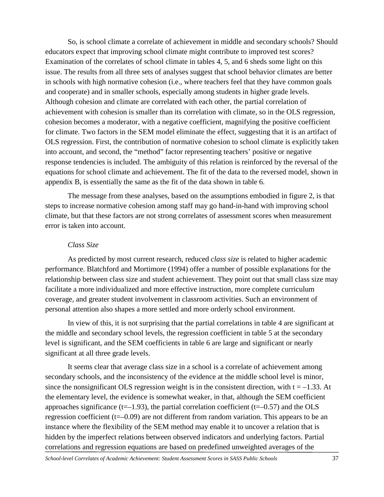So, is school climate a correlate of achievement in middle and secondary schools? Should educators expect that improving school climate might contribute to improved test scores? Examination of the correlates of school climate in tables 4, 5, and 6 sheds some light on this issue. The results from all three sets of analyses suggest that school behavior climates are better in schools with high normative cohesion (i.e., where teachers feel that they have common goals and cooperate) and in smaller schools, especially among students in higher grade levels. Although cohesion and climate are correlated with each other, the partial correlation of achievement with cohesion is smaller than its correlation with climate, so in the OLS regression, cohesion becomes a moderator, with a negative coefficient, magnifying the positive coefficient for climate. Two factors in the SEM model eliminate the effect, suggesting that it is an artifact of OLS regression. First, the contribution of normative cohesion to school climate is explicitly taken into account, and second, the "method" factor representing teachers' positive or negative response tendencies is included. The ambiguity of this relation is reinforced by the reversal of the equations for school climate and achievement. The fit of the data to the reversed model, shown in appendix B, is essentially the same as the fit of the data shown in table 6.

The message from these analyses, based on the assumptions embodied in figure 2, is that steps to increase normative cohesion among staff may go hand-in-hand with improving school climate, but that these factors are not strong correlates of assessment scores when measurement error is taken into account.

#### *Class Size*

As predicted by most current research, reduced *class size* is related to higher academic performance. Blatchford and Mortimore (1994) offer a number of possible explanations for the relationship between class size and student achievement. They point out that small class size may facilitate a more individualized and more effective instruction, more complete curriculum coverage, and greater student involvement in classroom activities. Such an environment of personal attention also shapes a more settled and more orderly school environment.

In view of this, it is not surprising that the partial correlations in table 4 are significant at the middle and secondary school levels, the regression coefficient in table 5 at the secondary level is significant, and the SEM coefficients in table 6 are large and significant or nearly significant at all three grade levels.

It seems clear that average class size in a school is a correlate of achievement among secondary schools, and the inconsistency of the evidence at the middle school level is minor, since the nonsignificant OLS regression weight is in the consistent direction, with  $t = -1.33$ . At the elementary level, the evidence is somewhat weaker, in that, although the SEM coefficient approaches significance ( $t=-1.93$ ), the partial correlation coefficient ( $t=-0.57$ ) and the OLS regression coefficient (t=-0.09) are not different from random variation. This appears to be an instance where the flexibility of the SEM method may enable it to uncover a relation that is hidden by the imperfect relations between observed indicators and underlying factors. Partial correlations and regression equations are based on predefined unweighted averages of the

*School-level Correlates of Academic Achievement: Student Assessment Scores in SASS Public Schools* 37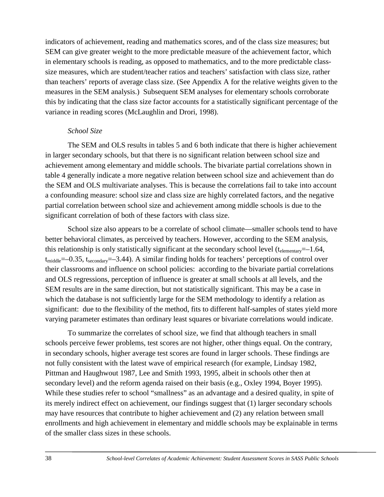indicators of achievement, reading and mathematics scores, and of the class size measures; but SEM can give greater weight to the more predictable measure of the achievement factor, which in elementary schools is reading, as opposed to mathematics, and to the more predictable classsize measures, which are student/teacher ratios and teachers' satisfaction with class size, rather than teachers' reports of average class size. (See Appendix A for the relative weights given to the measures in the SEM analysis.) Subsequent SEM analyses for elementary schools corroborate this by indicating that the class size factor accounts for a statistically significant percentage of the variance in reading scores (McLaughlin and Drori, 1998).

#### *School Size*

The SEM and OLS results in tables 5 and 6 both indicate that there is higher achievement in larger secondary schools, but that there is no significant relation between school size and achievement among elementary and middle schools. The bivariate partial correlations shown in table 4 generally indicate a more negative relation between school size and achievement than do the SEM and OLS multivariate analyses. This is because the correlations fail to take into account a confounding measure: school size and class size are highly correlated factors, and the negative partial correlation between school size and achievement among middle schools is due to the significant correlation of both of these factors with class size.

School size also appears to be a correlate of school climate—smaller schools tend to have better behavioral climates, as perceived by teachers. However, according to the SEM analysis, this relationship is only statistically significant at the secondary school level (t<sub>elementary</sub>=-1.64,  $t_{\text{middle}} = -0.35$ ,  $t_{\text{secondary}} = -3.44$ ). A similar finding holds for teachers' perceptions of control over their classrooms and influence on school policies: according to the bivariate partial correlations and OLS regressions, perception of influence is greater at small schools at all levels, and the SEM results are in the same direction, but not statistically significant. This may be a case in which the database is not sufficiently large for the SEM methodology to identify a relation as significant: due to the flexibility of the method, fits to different half-samples of states yield more varying parameter estimates than ordinary least squares or bivariate correlations would indicate.

To summarize the correlates of school size, we find that although teachers in small schools perceive fewer problems, test scores are not higher, other things equal. On the contrary, in secondary schools, higher average test scores are found in larger schools. These findings are not fully consistent with the latest wave of empirical research (for example, Lindsay 1982, Pittman and Haughwout 1987, Lee and Smith 1993, 1995, albeit in schools other then at secondary level) and the reform agenda raised on their basis (e.g., Oxley 1994, Boyer 1995). While these studies refer to school "smallness" as an advantage and a desired quality, in spite of its merely indirect effect on achievement, our findings suggest that (1) larger secondary schools may have resources that contribute to higher achievement and (2) any relation between small enrollments and high achievement in elementary and middle schools may be explainable in terms of the smaller class sizes in these schools.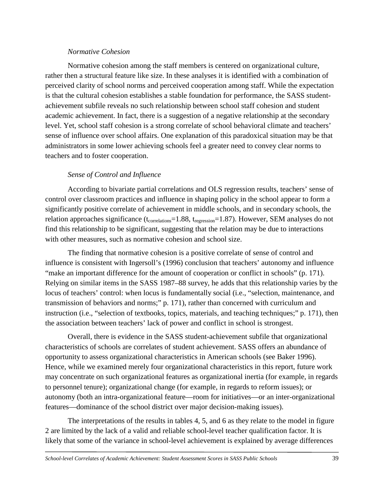### *Normative Cohesion*

Normative cohesion among the staff members is centered on organizational culture, rather then a structural feature like size. In these analyses it is identified with a combination of perceived clarity of school norms and perceived cooperation among staff. While the expectation is that the cultural cohesion establishes a stable foundation for performance, the SASS studentachievement subfile reveals no such relationship between school staff cohesion and student academic achievement. In fact, there is a suggestion of a negative relationship at the secondary level. Yet, school staff cohesion is a strong correlate of school behavioral climate and teachers' sense of influence over school affairs. One explanation of this paradoxical situation may be that administrators in some lower achieving schools feel a greater need to convey clear norms to teachers and to foster cooperation.

### *Sense of Control and Influence*

According to bivariate partial correlations and OLS regression results, teachers' sense of control over classroom practices and influence in shaping policy in the school appear to form a significantly positive correlate of achievement in middle schools, and in secondary schools, the relation approaches significance ( $t_{\text{correlations}}$ =1.88,  $t_{\text{regression}}$ =1.87). However, SEM analyses do not find this relationship to be significant, suggesting that the relation may be due to interactions with other measures, such as normative cohesion and school size.

The finding that normative cohesion is a positive correlate of sense of control and influence is consistent with Ingersoll's (1996) conclusion that teachers' autonomy and influence "make an important difference for the amount of cooperation or conflict in schools" (p. 171). Relying on similar items in the SASS 1987–88 survey, he adds that this relationship varies by the locus of teachers' control: when locus is fundamentally social (i.e., "selection, maintenance, and transmission of behaviors and norms;" p. 171), rather than concerned with curriculum and instruction (i.e., "selection of textbooks, topics, materials, and teaching techniques;" p. 171), then the association between teachers' lack of power and conflict in school is strongest.

Overall, there is evidence in the SASS student-achievement subfile that organizational characteristics of schools are correlates of student achievement. SASS offers an abundance of opportunity to assess organizational characteristics in American schools (see Baker 1996). Hence, while we examined merely four organizational characteristics in this report, future work may concentrate on such organizational features as organizational inertia (for example, in regards to personnel tenure); organizational change (for example, in regards to reform issues); or autonomy (both an intra-organizational feature—room for initiatives—or an inter-organizational features—dominance of the school district over major decision-making issues).

The interpretations of the results in tables 4, 5, and 6 as they relate to the model in figure 2 are limited by the lack of a valid and reliable school-level teacher qualification factor. It is likely that some of the variance in school-level achievement is explained by average differences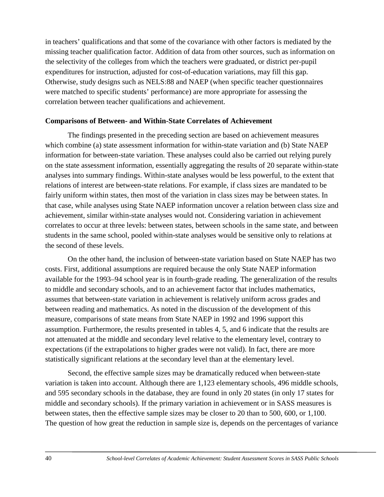in teachers' qualifications and that some of the covariance with other factors is mediated by the missing teacher qualification factor. Addition of data from other sources, such as information on the selectivity of the colleges from which the teachers were graduated, or district per-pupil expenditures for instruction, adjusted for cost-of-education variations, may fill this gap. Otherwise, study designs such as NELS:88 and NAEP (when specific teacher questionnaires were matched to specific students' performance) are more appropriate for assessing the correlation between teacher qualifications and achievement.

#### **Comparisons of Between- and Within-State Correlates of Achievement**

The findings presented in the preceding section are based on achievement measures which combine (a) state assessment information for within-state variation and (b) State NAEP information for between-state variation. These analyses could also be carried out relying purely on the state assessment information, essentially aggregating the results of 20 separate within-state analyses into summary findings. Within-state analyses would be less powerful, to the extent that relations of interest are between-state relations. For example, if class sizes are mandated to be fairly uniform within states, then most of the variation in class sizes may be between states. In that case, while analyses using State NAEP information uncover a relation between class size and achievement, similar within-state analyses would not. Considering variation in achievement correlates to occur at three levels: between states, between schools in the same state, and between students in the same school, pooled within-state analyses would be sensitive only to relations at the second of these levels.

On the other hand, the inclusion of between-state variation based on State NAEP has two costs. First, additional assumptions are required because the only State NAEP information available for the 1993–94 school year is in fourth-grade reading. The generalization of the results to middle and secondary schools, and to an achievement factor that includes mathematics, assumes that between-state variation in achievement is relatively uniform across grades and between reading and mathematics. As noted in the discussion of the development of this measure, comparisons of state means from State NAEP in 1992 and 1996 support this assumption. Furthermore, the results presented in tables 4, 5, and 6 indicate that the results are not attenuated at the middle and secondary level relative to the elementary level, contrary to expectations (if the extrapolations to higher grades were not valid). In fact, there are more statistically significant relations at the secondary level than at the elementary level.

Second, the effective sample sizes may be dramatically reduced when between-state variation is taken into account. Although there are 1,123 elementary schools, 496 middle schools, and 595 secondary schools in the database, they are found in only 20 states (in only 17 states for middle and secondary schools). If the primary variation in achievement or in SASS measures is between states, then the effective sample sizes may be closer to 20 than to 500, 600, or 1,100. The question of how great the reduction in sample size is, depends on the percentages of variance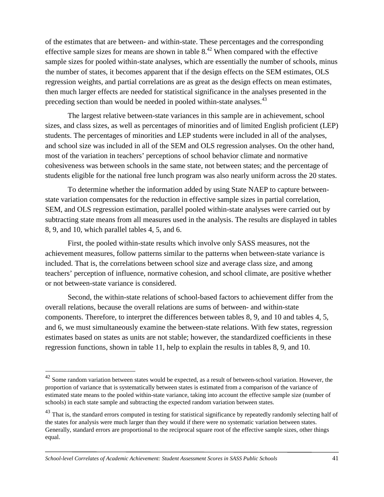of the estimates that are between- and within-state. These percentages and the corresponding effective sample sizes for means are shown in table  $8<sup>42</sup>$  When compared with the effective sample sizes for pooled within-state analyses, which are essentially the number of schools, minus the number of states, it becomes apparent that if the design effects on the SEM estimates, OLS regression weights, and partial correlations are as great as the design effects on mean estimates, then much larger effects are needed for statistical significance in the analyses presented in the preceding section than would be needed in pooled within-state analyses.<sup>43</sup>

The largest relative between-state variances in this sample are in achievement, school sizes, and class sizes, as well as percentages of minorities and of limited English proficient (LEP) students. The percentages of minorities and LEP students were included in all of the analyses, and school size was included in all of the SEM and OLS regression analyses. On the other hand, most of the variation in teachers' perceptions of school behavior climate and normative cohesiveness was between schools in the same state, not between states; and the percentage of students eligible for the national free lunch program was also nearly uniform across the 20 states.

To determine whether the information added by using State NAEP to capture betweenstate variation compensates for the reduction in effective sample sizes in partial correlation, SEM, and OLS regression estimation, parallel pooled within-state analyses were carried out by subtracting state means from all measures used in the analysis. The results are displayed in tables 8, 9, and 10, which parallel tables 4, 5, and 6.

First, the pooled within-state results which involve only SASS measures, not the achievement measures, follow patterns similar to the patterns when between-state variance is included. That is, the correlations between school size and average class size, and among teachers' perception of influence, normative cohesion, and school climate, are positive whether or not between-state variance is considered.

Second, the within-state relations of school-based factors to achievement differ from the overall relations, because the overall relations are sums of between- and within-state components. Therefore, to interpret the differences between tables 8, 9, and 10 and tables 4, 5, and 6, we must simultaneously examine the between-state relations. With few states, regression estimates based on states as units are not stable; however, the standardized coefficients in these regression functions, shown in table 11, help to explain the results in tables 8, 9, and 10.

 $\overline{a}$ 

 $42$  Some random variation between states would be expected, as a result of between-school variation. However, the proportion of variance that is systematically between states is estimated from a comparison of the variance of estimated state means to the pooled within-state variance, taking into account the effective sample size (number of schools) in each state sample and subtracting the expected random variation between states.

<sup>&</sup>lt;sup>43</sup> That is, the standard errors computed in testing for statistical significance by repeatedly randomly selecting half of the states for analysis were much larger than they would if there were no systematic variation between states. Generally, standard errors are proportional to the reciprocal square root of the effective sample sizes, other things equal.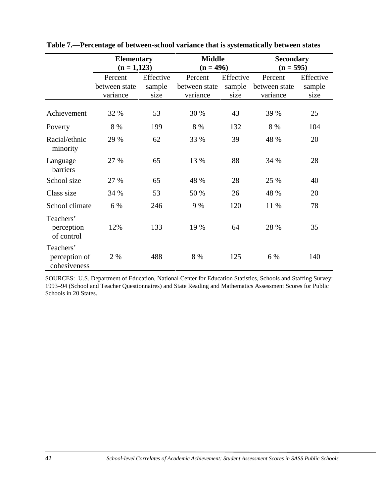|                                            | <b>Elementary</b> |           | <b>Middle</b> |           | <b>Secondary</b> |           |  |
|--------------------------------------------|-------------------|-----------|---------------|-----------|------------------|-----------|--|
|                                            | $(n = 1,123)$     |           | $(n = 496)$   |           | $(n = 595)$      |           |  |
|                                            | Percent           | Effective | Percent       | Effective | Percent          | Effective |  |
|                                            | between state     | sample    | between state | sample    | between state    | sample    |  |
|                                            | variance          | size      | variance      | size      | variance         | size      |  |
| Achievement                                | 32 %              | 53        | 30 %          | 43        | 39 %             | 25        |  |
| Poverty                                    | 8 %               | 199       | 8 %           | 132       | 8 %              | 104       |  |
| Racial/ethnic<br>minority                  | 29 %              | 62        | 33 %          | 39        | 48 %             | 20        |  |
| Language<br>barriers                       | 27 %              | 65        | 13 %          | 88        | 34 %             | 28        |  |
| School size                                | 27 %              | 65        | 48 %          | 28        | 25 %             | 40        |  |
| Class size                                 | 34 %              | 53        | 50 %          | 26        | 48 %             | 20        |  |
| School climate                             | 6 %               | 246       | 9 %           | 120       | 11 %             | 78        |  |
| Teachers'<br>perception<br>of control      | 12%               | 133       | 19 %          | 64        | 28 %             | 35        |  |
| Teachers'<br>perception of<br>cohesiveness | 2 %               | 488       | 8 %           | 125       | 6 %              | 140       |  |

**Table 7.—Percentage of between-school variance that is systematically between states**

SOURCES: U.S. Department of Education, National Center for Education Statistics, Schools and Staffing Survey: 1993–94 (School and Teacher Questionnaires) and State Reading and Mathematics Assessment Scores for Public Schools in 20 States.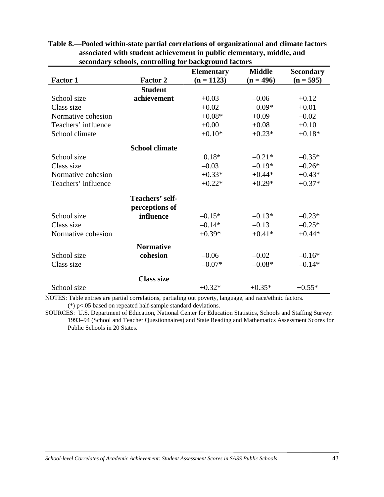|                     |                       | <b>Elementary</b> | <b>Middle</b> | <b>Secondary</b> |
|---------------------|-----------------------|-------------------|---------------|------------------|
| <b>Factor 1</b>     | <b>Factor 2</b>       | $(n = 1123)$      | $(n = 496)$   | $(n = 595)$      |
|                     | <b>Student</b>        |                   |               |                  |
| School size         | achievement           | $+0.03$           | $-0.06$       | $+0.12$          |
| Class size          |                       | $+0.02$           | $-0.09*$      | $+0.01$          |
| Normative cohesion  |                       | $+0.08*$          | $+0.09$       | $-0.02$          |
| Teachers' influence |                       | $+0.00$           | $+0.08$       | $+0.10$          |
| School climate      |                       | $+0.10*$          | $+0.23*$      | $+0.18*$         |
|                     | <b>School climate</b> |                   |               |                  |
| School size         |                       | $0.18*$           | $-0.21*$      | $-0.35*$         |
| Class size          |                       | $-0.03$           | $-0.19*$      | $-0.26*$         |
| Normative cohesion  |                       | $+0.33*$          | $+0.44*$      | $+0.43*$         |
| Teachers' influence |                       | $+0.22*$          | $+0.29*$      | $+0.37*$         |
|                     | Teachers' self-       |                   |               |                  |
|                     | perceptions of        |                   |               |                  |
| School size         | influence             | $-0.15*$          | $-0.13*$      | $-0.23*$         |
| Class size          |                       | $-0.14*$          | $-0.13$       | $-0.25*$         |
| Normative cohesion  |                       | $+0.39*$          | $+0.41*$      | $+0.44*$         |
|                     | <b>Normative</b>      |                   |               |                  |
| School size         | cohesion              | $-0.06$           | $-0.02$       | $-0.16*$         |
| Class size          |                       | $-0.07*$          | $-0.08*$      | $-0.14*$         |
|                     | <b>Class size</b>     |                   |               |                  |
| School size         |                       | $+0.32*$          | $+0.35*$      | $+0.55*$         |

**Table 8.—Pooled within-state partial correlations of organizational and climate factors associated with student achievement in public elementary, middle, and secondary schools, controlling for background factors**

NOTES: Table entries are partial correlations, partialing out poverty, language, and race/ethnic factors. (\*) p<.05 based on repeated half-sample standard deviations.

SOURCES: U.S. Department of Education, National Center for Education Statistics, Schools and Staffing Survey: 1993–94 (School and Teacher Questionnaires) and State Reading and Mathematics Assessment Scores for Public Schools in 20 States.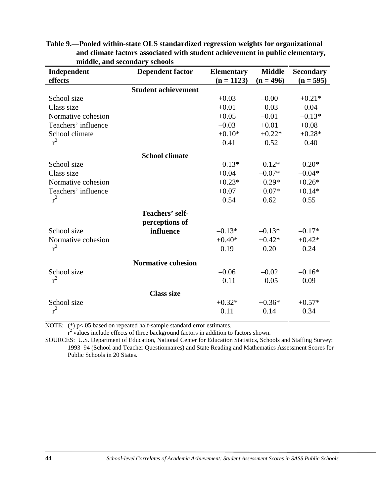| Independent         | <b>Dependent factor</b>    | <b>Elementary</b> | <b>Middle</b> | <b>Secondary</b> |
|---------------------|----------------------------|-------------------|---------------|------------------|
| effects             |                            | $(n = 1123)$      | $(n = 496)$   | $(n = 595)$      |
|                     | <b>Student achievement</b> |                   |               |                  |
| School size         |                            | $+0.03$           | $-0.00$       | $+0.21*$         |
| Class size          |                            | $+0.01$           | $-0.03$       | $-0.04$          |
| Normative cohesion  |                            | $+0.05$           | $-0.01$       | $-0.13*$         |
| Teachers' influence |                            | $-0.03$           | $+0.01$       | $+0.08$          |
| School climate      |                            | $+0.10*$          | $+0.22*$      | $+0.28*$         |
| $r^2$               |                            | 0.41              | 0.52          | 0.40             |
|                     | <b>School climate</b>      |                   |               |                  |
| School size         |                            | $-0.13*$          | $-0.12*$      | $-0.20*$         |
| Class size          |                            | $+0.04$           | $-0.07*$      | $-0.04*$         |
| Normative cohesion  |                            | $+0.23*$          | $+0.29*$      | $+0.26*$         |
| Teachers' influence |                            | $+0.07$           | $+0.07*$      | $+0.14*$         |
| $r^2$               |                            | 0.54              | 0.62          | 0.55             |
|                     | Teachers' self-            |                   |               |                  |
|                     | perceptions of             |                   |               |                  |
| School size         | influence                  | $-0.13*$          | $-0.13*$      | $-0.17*$         |
| Normative cohesion  |                            | $+0.40*$          | $+0.42*$      | $+0.42*$         |
| $r^2$               |                            | 0.19              | 0.20          | 0.24             |
|                     | <b>Normative cohesion</b>  |                   |               |                  |
| School size         |                            | $-0.06$           | $-0.02$       | $-0.16*$         |
| $r^2$               |                            | 0.11              | 0.05          | 0.09             |
|                     | <b>Class size</b>          |                   |               |                  |
| School size         |                            | $+0.32*$          | $+0.36*$      | $+0.57*$         |
| $r^2$               |                            | 0.11              | 0.14          | 0.34             |

**Table 9.—Pooled within-state OLS standardized regression weights for organizational and climate factors associated with student achievement in public elementary, middle, and secondary schools**

NOTE: (\*) p<.05 based on repeated half-sample standard error estimates.

r<sup>2</sup> values include effects of three background factors in addition to factors shown.

SOURCES: U.S. Department of Education, National Center for Education Statistics, Schools and Staffing Survey: 1993–94 (School and Teacher Questionnaires) and State Reading and Mathematics Assessment Scores for Public Schools in 20 States.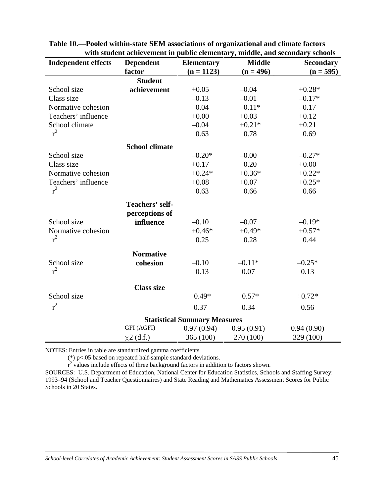| <b>Independent effects</b> | <b>Dependent</b>      | <b>Elementary</b>                   | <b>Middle</b> | <b>Secondary</b> |
|----------------------------|-----------------------|-------------------------------------|---------------|------------------|
|                            | factor                | $(n = 1123)$                        | $(n = 496)$   | $(n = 595)$      |
|                            | <b>Student</b>        |                                     |               |                  |
| School size                | achievement           | $+0.05$                             | $-0.04$       | $+0.28*$         |
| Class size                 |                       | $-0.13$                             | $-0.01$       | $-0.17*$         |
| Normative cohesion         |                       | $-0.04$                             | $-0.11*$      | $-0.17$          |
| Teachers' influence        |                       | $+0.00$                             | $+0.03$       | $+0.12$          |
| School climate             |                       | $-0.04$                             | $+0.21*$      | $+0.21$          |
| $r^2$                      |                       | 0.63                                | 0.78          | 0.69             |
|                            | <b>School climate</b> |                                     |               |                  |
| School size                |                       | $-0.20*$                            | $-0.00$       | $-0.27*$         |
| Class size                 |                       | $+0.17$                             | $-0.20$       | $+0.00$          |
| Normative cohesion         |                       | $+0.24*$                            | $+0.36*$      | $+0.22*$         |
| Teachers' influence        |                       | $+0.08$                             | $+0.07$       | $+0.25*$         |
| $r^2$                      |                       | 0.63                                | 0.66          | 0.66             |
|                            | Teachers' self-       |                                     |               |                  |
|                            | perceptions of        |                                     |               |                  |
| School size                | influence             | $-0.10$                             | $-0.07$       | $-0.19*$         |
| Normative cohesion         |                       | $+0.46*$                            | $+0.49*$      | $+0.57*$         |
| $r^2$                      |                       | 0.25                                | 0.28          | 0.44             |
|                            | <b>Normative</b>      |                                     |               |                  |
| School size                | cohesion              | $-0.10$                             | $-0.11*$      | $-0.25*$         |
| $r^2$                      |                       | 0.13                                | 0.07          | 0.13             |
|                            | <b>Class size</b>     |                                     |               |                  |
| School size                |                       | $+0.49*$                            | $+0.57*$      | $+0.72*$         |
| $r^2$                      |                       | 0.37                                | 0.34          | 0.56             |
|                            |                       | <b>Statistical Summary Measures</b> |               |                  |
|                            | GFI (AGFI)            | 0.97(0.94)                          | 0.95(0.91)    | 0.94(0.90)       |
|                            | $\chi$ 2 (d.f.)       | 365 (100)                           | 270 (100)     | 329 (100)        |

**Table 10.—Pooled within-state SEM associations of organizational and climate factors with student achievement in public elementary, middle, and secondary schools**

NOTES: Entries in table are standardized gamma coefficients

(\*) p<.05 based on repeated half-sample standard deviations.

r<sup>2</sup> values include effects of three background factors in addition to factors shown.

SOURCES: U.S. Department of Education, National Center for Education Statistics, Schools and Staffing Survey: 1993–94 (School and Teacher Questionnaires) and State Reading and Mathematics Assessment Scores for Public Schools in 20 States.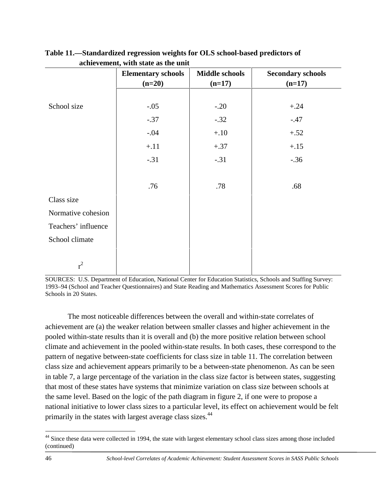|                     | <b>Elementary schools</b> | <b>Middle schools</b> | <b>Secondary schools</b> |
|---------------------|---------------------------|-----------------------|--------------------------|
|                     | $(n=20)$                  | $(n=17)$              | $(n=17)$                 |
|                     |                           |                       |                          |
| School size         | $-.05$                    | $-.20$                | $+.24$                   |
|                     | $-.37$                    | $-.32$                | $-.47$                   |
|                     | $-.04$                    | $+.10$                | $+.52$                   |
|                     | $+.11$                    | $+.37$                | $+.15$                   |
|                     | $-.31$                    | $-.31$                | $-.36$                   |
|                     |                           |                       |                          |
|                     | .76                       | .78                   | .68                      |
| Class size          |                           |                       |                          |
| Normative cohesion  |                           |                       |                          |
| Teachers' influence |                           |                       |                          |
| School climate      |                           |                       |                          |
|                     |                           |                       |                          |
| $r^2$               |                           |                       |                          |

## **Table 11.—Standardized regression weights for OLS school-based predictors of achievement, with state as the unit**

SOURCES: U.S. Department of Education, National Center for Education Statistics, Schools and Staffing Survey: 1993–94 (School and Teacher Questionnaires) and State Reading and Mathematics Assessment Scores for Public Schools in 20 States.

The most noticeable differences between the overall and within-state correlates of achievement are (a) the weaker relation between smaller classes and higher achievement in the pooled within-state results than it is overall and (b) the more positive relation between school climate and achievement in the pooled within-state results. In both cases, these correspond to the pattern of negative between-state coefficients for class size in table 11. The correlation between class size and achievement appears primarily to be a between-state phenomenon. As can be seen in table 7, a large percentage of the variation in the class size factor is between states, suggesting that most of these states have systems that minimize variation on class size between schools at the same level. Based on the logic of the path diagram in figure 2, if one were to propose a national initiative to lower class sizes to a particular level, its effect on achievement would be felt primarily in the states with largest average class sizes.<sup>44</sup>

 $\overline{a}$ <sup>44</sup> Since these data were collected in 1994, the state with largest elementary school class sizes among those included (continued)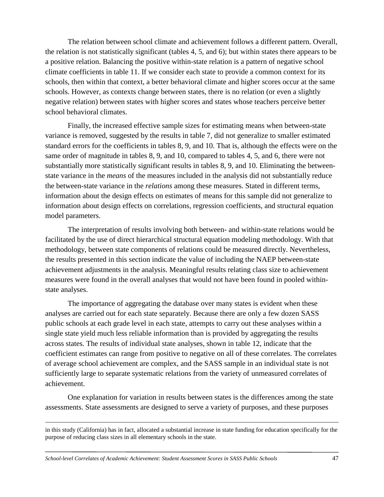The relation between school climate and achievement follows a different pattern. Overall, the relation is not statistically significant (tables 4, 5, and 6); but within states there appears to be a positive relation. Balancing the positive within-state relation is a pattern of negative school climate coefficients in table 11. If we consider each state to provide a common context for its schools, then within that context, a better behavioral climate and higher scores occur at the same schools. However, as contexts change between states, there is no relation (or even a slightly negative relation) between states with higher scores and states whose teachers perceive better school behavioral climates.

Finally, the increased effective sample sizes for estimating means when between-state variance is removed, suggested by the results in table 7, did not generalize to smaller estimated standard errors for the coefficients in tables 8, 9, and 10. That is, although the effects were on the same order of magnitude in tables 8, 9, and 10, compared to tables 4, 5, and 6, there were not substantially more statistically significant results in tables 8, 9, and 10. Eliminating the betweenstate variance in the *means* of the measures included in the analysis did not substantially reduce the between-state variance in the *relations* among these measures. Stated in different terms, information about the design effects on estimates of means for this sample did not generalize to information about design effects on correlations, regression coefficients, and structural equation model parameters.

The interpretation of results involving both between- and within-state relations would be facilitated by the use of direct hierarchical structural equation modeling methodology. With that methodology, between state components of relations could be measured directly. Nevertheless, the results presented in this section indicate the value of including the NAEP between-state achievement adjustments in the analysis. Meaningful results relating class size to achievement measures were found in the overall analyses that would not have been found in pooled withinstate analyses.

The importance of aggregating the database over many states is evident when these analyses are carried out for each state separately. Because there are only a few dozen SASS public schools at each grade level in each state, attempts to carry out these analyses within a single state yield much less reliable information than is provided by aggregating the results across states. The results of individual state analyses, shown in table 12, indicate that the coefficient estimates can range from positive to negative on all of these correlates. The correlates of average school achievement are complex, and the SASS sample in an individual state is not sufficiently large to separate systematic relations from the variety of unmeasured correlates of achievement.

One explanation for variation in results between states is the differences among the state assessments. State assessments are designed to serve a variety of purposes, and these purposes

in this study (California) has in fact, allocated a substantial increase in state funding for education specifically for the purpose of reducing class sizes in all elementary schools in the state.

*School-level Correlates of Academic Achievement: Student Assessment Scores in SASS Public Schools* 47

 $\overline{a}$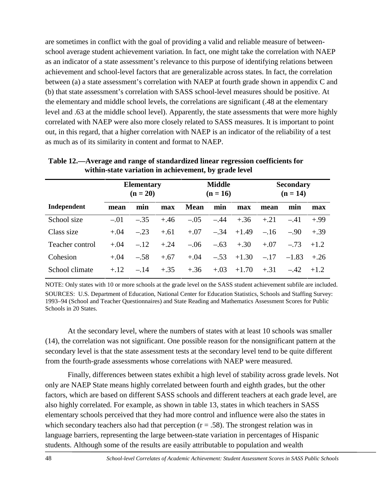are sometimes in conflict with the goal of providing a valid and reliable measure of betweenschool average student achievement variation. In fact, one might take the correlation with NAEP as an indicator of a state assessment's relevance to this purpose of identifying relations between achievement and school-level factors that are generalizable across states. In fact, the correlation between (a) a state assessment's correlation with NAEP at fourth grade shown in appendix C and (b) that state assessment's correlation with SASS school-level measures should be positive. At the elementary and middle school levels, the correlations are significant (.48 at the elementary level and .63 at the middle school level). Apparently, the state assessments that were more highly correlated with NAEP were also more closely related to SASS measures. It is important to point out, in this regard, that a higher correlation with NAEP is an indicator of the reliability of a test as much as of its similarity in content and format to NAEP.

|                 | <b>Elementary</b><br>$(n = 20)$ |        | <b>Middle</b><br>$(n = 16)$ |             |        | <b>Secondary</b><br>$(n = 14)$ |        |            |         |
|-----------------|---------------------------------|--------|-----------------------------|-------------|--------|--------------------------------|--------|------------|---------|
| Independent     | mean                            | min    | max                         | <b>Mean</b> | min    | max                            | mean   | min        | max     |
| School size     | $-.01$                          | $-.35$ | $+.46$                      | $-.05$      | $-.44$ | $+.36$                         | $+.21$ | $-.41$     | $+.99$  |
| Class size      | $+.04$                          | $-.23$ | $+.61$                      | $+.07$      | $-.34$ | $+1.49$                        | $-.16$ | $-90^{-1}$ | $+.39$  |
| Teacher control | $+.04$                          | $-.12$ | $+.24$                      | $-.06$      | $-.63$ | $+.30$                         | $+.07$ | $-.73$     | $+1.2$  |
| Cohesion        | $+.04$                          | $-.58$ | $+.67$                      | $+.04$      | $-.53$ | $+1.30$                        | $-.17$ | $-1.83$    | $+.26$  |
| School climate  | $+.12$                          | $-.14$ | $+.35$                      | $+.36$      | $+.03$ | $+1.70$                        | $+.31$ | $-.42$     | $+1.2.$ |

**Table 12.—Average and range of standardized linear regression coefficients for within-state variation in achievement, by grade level**

NOTE: Only states with 10 or more schools at the grade level on the SASS student achievement subfile are included. SOURCES: U.S. Department of Education, National Center for Education Statistics, Schools and Staffing Survey: 1993–94 (School and Teacher Questionnaires) and State Reading and Mathematics Assessment Scores for Public Schools in 20 States.

At the secondary level, where the numbers of states with at least 10 schools was smaller (14), the correlation was not significant. One possible reason for the nonsignificant pattern at the secondary level is that the state assessment tests at the secondary level tend to be quite different from the fourth-grade assessments whose correlations with NAEP were measured.

Finally, differences between states exhibit a high level of stability across grade levels. Not only are NAEP State means highly correlated between fourth and eighth grades, but the other factors, which are based on different SASS schools and different teachers at each grade level, are also highly correlated. For example, as shown in table 13, states in which teachers in SASS elementary schools perceived that they had more control and influence were also the states in which secondary teachers also had that perception  $(r = .58)$ . The strongest relation was in language barriers, representing the large between-state variation in percentages of Hispanic students. Although some of the results are easily attributable to population and wealth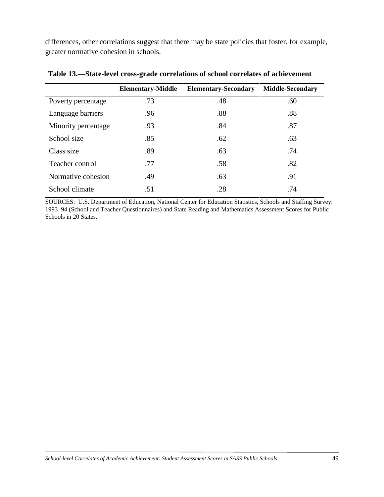differences, other correlations suggest that there may be state policies that foster, for example, greater normative cohesion in schools.

|                     | <b>Elementary-Middle</b> | <b>Elementary-Secondary</b> | <b>Middle-Secondary</b> |
|---------------------|--------------------------|-----------------------------|-------------------------|
| Poverty percentage  | .73                      | .48                         | .60                     |
| Language barriers   | .96                      | .88                         | .88                     |
| Minority percentage | .93                      | .84                         | .87                     |
| School size         | .85                      | .62                         | .63                     |
| Class size          | .89                      | .63                         | .74                     |
| Teacher control     | .77                      | .58                         | .82                     |
| Normative cohesion  | .49                      | .63                         | .91                     |
| School climate      | .51                      | .28                         | .74                     |

| Table 13.—State-level cross-grade correlations of school correlates of achievement |  |  |  |
|------------------------------------------------------------------------------------|--|--|--|
|------------------------------------------------------------------------------------|--|--|--|

SOURCES: U.S. Department of Education, National Center for Education Statistics, Schools and Staffing Survey: 1993–94 (School and Teacher Questionnaires) and State Reading and Mathematics Assessment Scores for Public Schools in 20 States.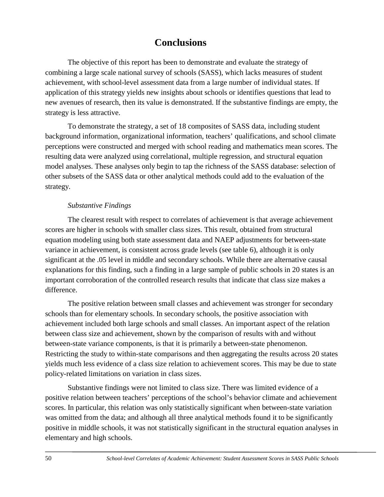## **Conclusions**

The objective of this report has been to demonstrate and evaluate the strategy of combining a large scale national survey of schools (SASS), which lacks measures of student achievement, with school-level assessment data from a large number of individual states. If application of this strategy yields new insights about schools or identifies questions that lead to new avenues of research, then its value is demonstrated. If the substantive findings are empty, the strategy is less attractive.

To demonstrate the strategy, a set of 18 composites of SASS data, including student background information, organizational information, teachers' qualifications, and school climate perceptions were constructed and merged with school reading and mathematics mean scores. The resulting data were analyzed using correlational, multiple regression, and structural equation model analyses. These analyses only begin to tap the richness of the SASS database: selection of other subsets of the SASS data or other analytical methods could add to the evaluation of the strategy.

### *Substantive Findings*

The clearest result with respect to correlates of achievement is that average achievement scores are higher in schools with smaller class sizes. This result, obtained from structural equation modeling using both state assessment data and NAEP adjustments for between-state variance in achievement, is consistent across grade levels (see table 6), although it is only significant at the .05 level in middle and secondary schools. While there are alternative causal explanations for this finding, such a finding in a large sample of public schools in 20 states is an important corroboration of the controlled research results that indicate that class size makes a difference.

The positive relation between small classes and achievement was stronger for secondary schools than for elementary schools. In secondary schools, the positive association with achievement included both large schools and small classes. An important aspect of the relation between class size and achievement, shown by the comparison of results with and without between-state variance components, is that it is primarily a between-state phenomenon. Restricting the study to within-state comparisons and then aggregating the results across 20 states yields much less evidence of a class size relation to achievement scores. This may be due to state policy-related limitations on variation in class sizes.

Substantive findings were not limited to class size. There was limited evidence of a positive relation between teachers' perceptions of the school's behavior climate and achievement scores. In particular, this relation was only statistically significant when between-state variation was omitted from the data; and although all three analytical methods found it to be significantly positive in middle schools, it was not statistically significant in the structural equation analyses in elementary and high schools.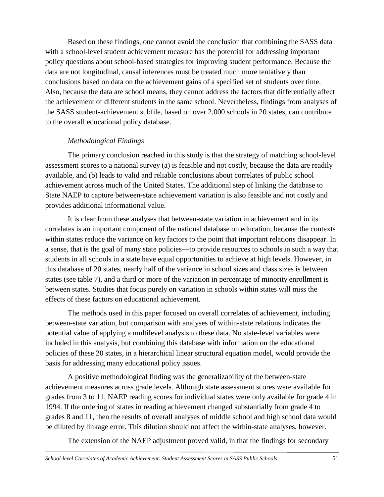Based on these findings, one cannot avoid the conclusion that combining the SASS data with a school-level student achievement measure has the potential for addressing important policy questions about school-based strategies for improving student performance. Because the data are not longitudinal, causal inferences must be treated much more tentatively than conclusions based on data on the achievement gains of a specified set of students over time. Also, because the data are school means, they cannot address the factors that differentially affect the achievement of different students in the same school. Nevertheless, findings from analyses of the SASS student-achievement subfile, based on over 2,000 schools in 20 states, can contribute to the overall educational policy database.

### *Methodological Findings*

The primary conclusion reached in this study is that the strategy of matching school-level assessment scores to a national survey (a) is feasible and not costly, because the data are readily available, and (b) leads to valid and reliable conclusions about correlates of public school achievement across much of the United States. The additional step of linking the database to State NAEP to capture between-state achievement variation is also feasible and not costly and provides additional informational value.

It is clear from these analyses that between-state variation in achievement and in its correlates is an important component of the national database on education, because the contexts within states reduce the variance on key factors to the point that important relations disappear. In a sense, that is the goal of many state policies—to provide resources to schools in such a way that students in all schools in a state have equal opportunities to achieve at high levels. However, in this database of 20 states, nearly half of the variance in school sizes and class sizes is between states (see table 7), and a third or more of the variation in percentage of minority enrollment is between states. Studies that focus purely on variation in schools within states will miss the effects of these factors on educational achievement.

The methods used in this paper focused on overall correlates of achievement, including between-state variation, but comparison with analyses of within-state relations indicates the potential value of applying a multilevel analysis to these data. No state-level variables were included in this analysis, but combining this database with information on the educational policies of these 20 states, in a hierarchical linear structural equation model, would provide the basis for addressing many educational policy issues.

A positive methodological finding was the generalizability of the between-state achievement measures across grade levels. Although state assessment scores were available for grades from 3 to 11, NAEP reading scores for individual states were only available for grade 4 in 1994. If the ordering of states in reading achievement changed substantially from grade 4 to grades 8 and 11, then the results of overall analyses of middle school and high school data would be diluted by linkage error. This dilution should not affect the within-state analyses, however.

The extension of the NAEP adjustment proved valid, in that the findings for secondary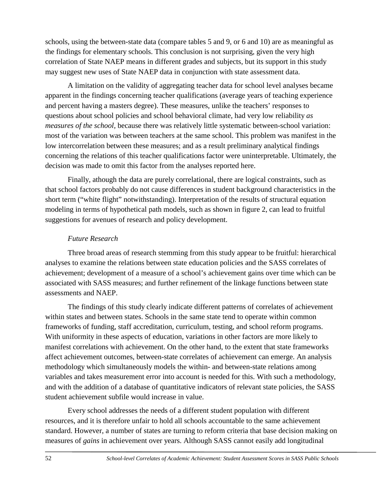schools, using the between-state data (compare tables 5 and 9, or 6 and 10) are as meaningful as the findings for elementary schools. This conclusion is not surprising, given the very high correlation of State NAEP means in different grades and subjects, but its support in this study may suggest new uses of State NAEP data in conjunction with state assessment data.

A limitation on the validity of aggregating teacher data for school level analyses became apparent in the findings concerning teacher qualifications (average years of teaching experience and percent having a masters degree). These measures, unlike the teachers' responses to questions about school policies and school behavioral climate, had very low reliability *as measures of the school,* because there was relatively little systematic between-school variation: most of the variation was between teachers at the same school. This problem was manifest in the low intercorrelation between these measures; and as a result preliminary analytical findings concerning the relations of this teacher qualifications factor were uninterpretable. Ultimately, the decision was made to omit this factor from the analyses reported here.

Finally, athough the data are purely correlational, there are logical constraints, such as that school factors probably do not cause differences in student background characteristics in the short term ("white flight" notwithstanding). Interpretation of the results of structural equation modeling in terms of hypothetical path models, such as shown in figure 2, can lead to fruitful suggestions for avenues of research and policy development.

### *Future Research*

Three broad areas of research stemming from this study appear to be fruitful: hierarchical analyses to examine the relations between state education policies and the SASS correlates of achievement; development of a measure of a school's achievement gains over time which can be associated with SASS measures; and further refinement of the linkage functions between state assessments and NAEP.

The findings of this study clearly indicate different patterns of correlates of achievement within states and between states. Schools in the same state tend to operate within common frameworks of funding, staff accreditation, curriculum, testing, and school reform programs. With uniformity in these aspects of education, variations in other factors are more likely to manifest correlations with achievement. On the other hand, to the extent that state frameworks affect achievement outcomes, between-state correlates of achievement can emerge. An analysis methodology which simultaneously models the within- and between-state relations among variables and takes measurement error into account is needed for this. With such a methodology, and with the addition of a database of quantitative indicators of relevant state policies, the SASS student achievement subfile would increase in value.

Every school addresses the needs of a different student population with different resources, and it is therefore unfair to hold all schools accountable to the same achievement standard. However, a number of states are turning to reform criteria that base decision making on measures of *gains* in achievement over years. Although SASS cannot easily add longitudinal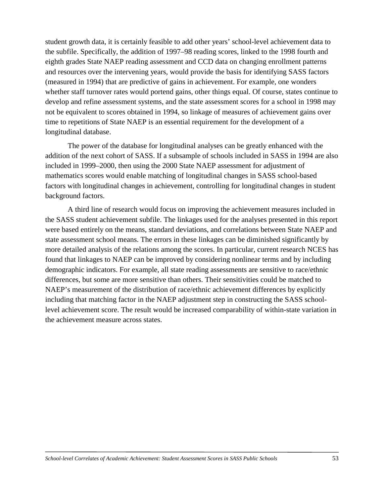student growth data, it is certainly feasible to add other years' school-level achievement data to the subfile. Specifically, the addition of 1997–98 reading scores, linked to the 1998 fourth and eighth grades State NAEP reading assessment and CCD data on changing enrollment patterns and resources over the intervening years, would provide the basis for identifying SASS factors (measured in 1994) that are predictive of gains in achievement. For example, one wonders whether staff turnover rates would portend gains, other things equal. Of course, states continue to develop and refine assessment systems, and the state assessment scores for a school in 1998 may not be equivalent to scores obtained in 1994, so linkage of measures of achievement gains over time to repetitions of State NAEP is an essential requirement for the development of a longitudinal database.

The power of the database for longitudinal analyses can be greatly enhanced with the addition of the next cohort of SASS. If a subsample of schools included in SASS in 1994 are also included in 1999–2000, then using the 2000 State NAEP assessment for adjustment of mathematics scores would enable matching of longitudinal changes in SASS school-based factors with longitudinal changes in achievement, controlling for longitudinal changes in student background factors.

A third line of research would focus on improving the achievement measures included in the SASS student achievement subfile. The linkages used for the analyses presented in this report were based entirely on the means, standard deviations, and correlations between State NAEP and state assessment school means. The errors in these linkages can be diminished significantly by more detailed analysis of the relations among the scores. In particular, current research NCES has found that linkages to NAEP can be improved by considering nonlinear terms and by including demographic indicators. For example, all state reading assessments are sensitive to race/ethnic differences, but some are more sensitive than others. Their sensitivities could be matched to NAEP's measurement of the distribution of race/ethnic achievement differences by explicitly including that matching factor in the NAEP adjustment step in constructing the SASS schoollevel achievement score. The result would be increased comparability of within-state variation in the achievement measure across states.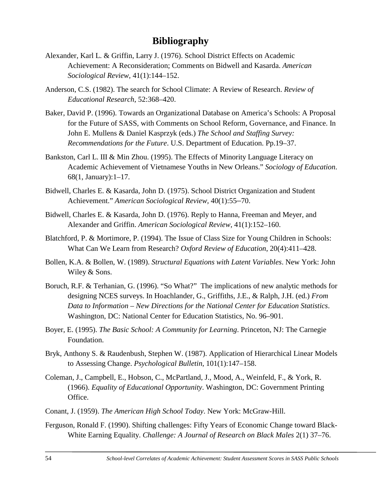## **Bibliography**

- Alexander, Karl L. & Griffin, Larry J. (1976). School District Effects on Academic Achievement: A Reconsideration; Comments on Bidwell and Kasarda. *American Sociological Review*, 41(1):144–152.
- Anderson, C.S. (1982). The search for School Climate: A Review of Research. *Review of Educational Research*, 52:368–420.
- Baker, David P. (1996). Towards an Organizational Database on America's Schools: A Proposal for the Future of SASS, with Comments on School Reform, Governance, and Finance. In John E. Mullens & Daniel Kasprzyk (eds.) *The School and Staffing Survey: Recommendations for the Future*. U.S. Department of Education. Pp.19–37.
- Bankston, Carl L. III & Min Zhou. (1995). The Effects of Minority Language Literacy on Academic Achievement of Vietnamese Youths in New Orleans." *Sociology of Education*. 68(1, January):1–17.
- Bidwell, Charles E. & Kasarda, John D. (1975). School District Organization and Student Achievement." *American Sociological Review,* 40(1):55–70.
- Bidwell, Charles E. & Kasarda, John D. (1976). Reply to Hanna, Freeman and Meyer, and Alexander and Griffin. *American Sociological Review*, 41(1):152–160.
- Blatchford, P. & Mortimore, P. (1994). The Issue of Class Size for Young Children in Schools: What Can We Learn from Research? *Oxford Review of Education*, 20(4):411–428.
- Bollen, K.A. & Bollen, W. (1989). *Structural Equations with Latent Variables*. New York: John Wiley & Sons.
- Boruch, R.F. & Terhanian, G. (1996). "So What?" The implications of new analytic methods for designing NCES surveys. In Hoachlander, G., Griffiths, J.E., & Ralph, J.H. (ed.) *From Data to Information – New Directions for the National Center for Education Statistics*. Washington, DC: National Center for Education Statistics, No. 96–901.
- Boyer, E. (1995). *The Basic School: A Community for Learning*. Princeton, NJ: The Carnegie Foundation.
- Bryk, Anthony S. & Raudenbush, Stephen W. (1987). Application of Hierarchical Linear Models to Assessing Change. *Psychological Bulletin*, 101(1):147–158.
- Coleman, J., Campbell, E., Hobson, C., McPartland, J., Mood, A., Weinfeld, F., & York, R. (1966). *Equality of Educational Opportunity*. Washington, DC: Government Printing Office.
- Conant, J. (1959). *The American High School Today*. New York: McGraw-Hill.
- Ferguson, Ronald F. (1990). Shifting challenges: Fifty Years of Economic Change toward Black-White Earning Equality. *Challenge: A Journal of Research on Black Males* 2(1) 37–76.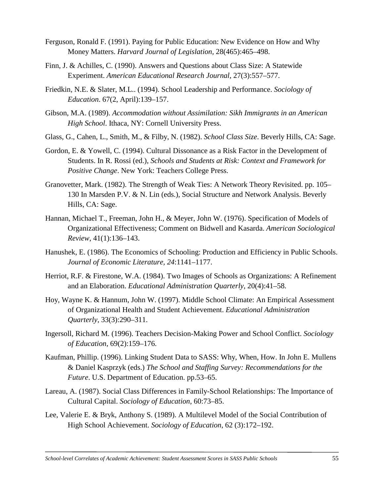- Ferguson, Ronald F. (1991). Paying for Public Education: New Evidence on How and Why Money Matters. *Harvard Journal of Legislation,* 28(465):465–498.
- Finn, J. & Achilles, C. (1990). Answers and Questions about Class Size: A Statewide Experiment. *American Educational Research Journal*, 27(3):557–577.
- Friedkin, N.E. & Slater, M.L.. (1994). School Leadership and Performance. *Sociology of Education*. 67(2, April):139–157.
- Gibson, M.A. (1989). *Accommodation without Assimilation: Sikh Immigrants in an American High School*. Ithaca, NY: Cornell University Press.
- Glass, G., Cahen, L., Smith, M., & Filby, N. (1982). *School Class Size*. Beverly Hills, CA: Sage.
- Gordon, E. & Yowell, C. (1994). Cultural Dissonance as a Risk Factor in the Development of Students. In R. Rossi (ed.), *Schools and Students at Risk: Context and Framework for Positive Change*. New York: Teachers College Press.
- Granovetter, Mark. (1982). The Strength of Weak Ties: A Network Theory Revisited. pp. 105– 130 In Marsden P.V. & N. Lin (eds.), Social Structure and Network Analysis. Beverly Hills, CA: Sage.
- Hannan, Michael T., Freeman, John H., & Meyer, John W. (1976). Specification of Models of Organizational Effectiveness; Comment on Bidwell and Kasarda. *American Sociological Review*, 41(1):136–143.
- Hanushek, E. (1986). The Economics of Schooling: Production and Efficiency in Public Schools. *Journal of Economic Literature, 24*:1141–1177.
- Herriot, R.F. & Firestone, W.A. (1984). Two Images of Schools as Organizations: A Refinement and an Elaboration. *Educational Administration Quarterly*, 20(4):41–58.
- Hoy, Wayne K. & Hannum, John W. (1997). Middle School Climate: An Empirical Assessment of Organizational Health and Student Achievement. *Educational Administration Quarterly*, 33(3):290–311.
- Ingersoll, Richard M. (1996). Teachers Decision-Making Power and School Conflict. *Sociology of Education*, 69(2):159–176.
- Kaufman, Phillip. (1996). Linking Student Data to SASS: Why, When, How. In John E. Mullens & Daniel Kasprzyk (eds.) *The School and Staffing Survey: Recommendations for the Future*. U.S. Department of Education. pp.53–65.
- Lareau, A. (1987). Social Class Differences in Family-School Relationships: The Importance of Cultural Capital. *Sociology of Education*, 60:73–85.
- Lee, Valerie E. & Bryk, Anthony S. (1989). A Multilevel Model of the Social Contribution of High School Achievement. *Sociology of Education*, 62 (3):172–192.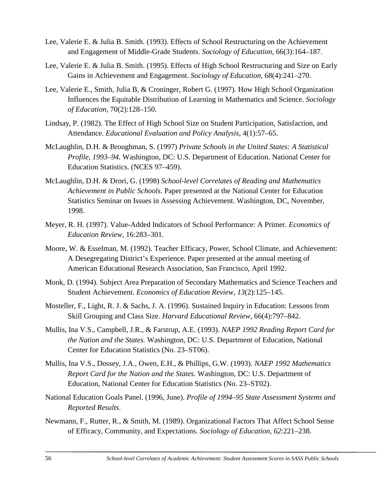- Lee, Valerie E. & Julia B. Smith. (1993). Effects of School Restructuring on the Achievement and Engagement of Middle-Grade Students. *Sociology of Education*, 66(3):164–187.
- Lee, Valerie E. & Julia B. Smith. (1995). Effects of High School Restructuring and Size on Early Gains in Achievement and Engagement. *Sociology of Education*, 68(4):241–270.
- Lee, Valerie E., Smith, Julia B, & Croninger, Robert G. (1997). How High School Organization Influences the Equitable Distribution of Learning in Mathematics and Science. *Sociology of Education*, 70(2):128–150.
- Lindsay, P. (1982). The Effect of High School Size on Student Participation, Satisfaction, and Attendance. *Educational Evaluation and Policy Analysis*, 4(1):57–65.
- McLaughlin, D.H. & Broughman, S. (1997) *Private Schools in the United States: A Statistical Profile, 1993–94.* Washington, DC: U.S. Department of Education. National Center for Education Statistics. (NCES 97–459).
- McLaughlin, D.H. & Drori, G. (1998) *School-level Correlates of Reading and Mathematics Achievement in Public Schools*. Paper presented at the National Center for Education Statistics Seminar on Issues in Assessing Achievement. Washington, DC, November, 1998.
- Meyer, R. H. (1997). Value-Added Indicators of School Performance: A Primer. *Economics of Education Review*, 16:283–301.
- Moore, W. & Esselman, M. (1992). Teacher Efficacy, Power, School Climate, and Achievement: A Desegregating District's Experience. Paper presented at the annual meeting of American Educational Research Association, San Francisco, April 1992.
- Monk, D. (1994). Subject Area Preparation of Secondary Mathematics and Science Teachers and Student Achievement. *Economics of Education Review, 13*(2):125–145.
- Mosteller, F., Light, R. J. & Sachs, J. A. (1996). Sustained Inquiry in Education: Lessons from Skill Grouping and Class Size. *Harvard Educational Review*, 66(4):797–842.
- Mullis, Ina V.S., Campbell, J.R., & Farstrup, A.E. (1993). *NAEP 1992 Reading Report Card for the Nation and the States.* Washington, DC: U.S. Department of Education, National Center for Education Statistics (No. 23–ST06).
- Mullis, Ina V.S., Dossey, J.A., Owen, E.H., & Phillips, G.W. (1993). *NAEP 1992 Mathematics Report Card for the Nation and the States.* Washington, DC: U.S. Department of Education, National Center for Education Statistics (No. 23–ST02).
- National Education Goals Panel. (1996, June). *Profile of 1994–95 State Assessment Systems and Reported Results*.
- Newmann, F., Rutter, R., & Smith, M. (1989). Organizational Factors That Affect School Sense of Efficacy, Community, and Expectations. *Sociology of Education, 62*:221–238.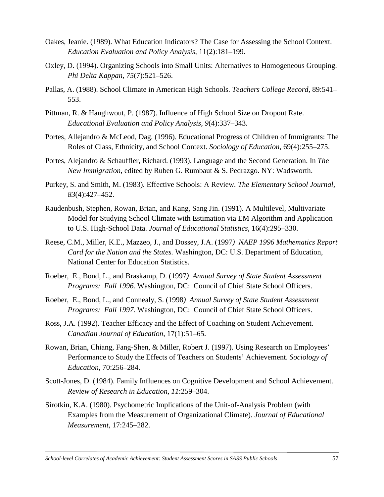- Oakes, Jeanie. (1989). What Education Indicators? The Case for Assessing the School Context. *Education Evaluation and Policy Analysis*, 11(2):181–199.
- Oxley, D. (1994). Organizing Schools into Small Units: Alternatives to Homogeneous Grouping. *Phi Delta Kappan, 75*(7):521–526.
- Pallas, A. (1988). School Climate in American High Schools. *Teachers College Record*, 89:541– 553.
- Pittman, R. & Haughwout, P. (1987). Influence of High School Size on Dropout Rate. *Educational Evaluation and Policy Analysis, 9*(4):337–343.
- Portes, Allejandro & McLeod, Dag. (1996). Educational Progress of Children of Immigrants: The Roles of Class, Ethnicity, and School Context. *Sociology of Education*, 69(4):255–275.
- Portes, Alejandro & Schauffler, Richard. (1993). Language and the Second Generation. In *The New Immigration*, edited by Ruben G. Rumbaut & S. Pedrazgo. NY: Wadsworth.
- Purkey, S. and Smith, M. (1983). Effective Schools: A Review*. The Elementary School Journal, 83*(4):427–452.
- Raudenbush, Stephen, Rowan, Brian, and Kang, Sang Jin. (1991). A Multilevel, Multivariate Model for Studying School Climate with Estimation via EM Algorithm and Application to U.S. High-School Data. *Journal of Educational Statistics*, 16(4):295–330.
- Reese, C.M., Miller, K.E., Mazzeo, J., and Dossey, J.A. (1997*) NAEP 1996 Mathematics Report Card for the Nation and the States.* Washington, DC: U.S. Department of Education, National Center for Education Statistics.
- Roeber, E., Bond, L., and Braskamp, D. (1997*) Annual Survey of State Student Assessment Programs: Fall 1996.* Washington, DC: Council of Chief State School Officers.
- Roeber, E., Bond, L., and Connealy, S. (1998*) Annual Survey of State Student Assessment Programs: Fall 1997.* Washington, DC: Council of Chief State School Officers.
- Ross, J.A. (1992). Teacher Efficacy and the Effect of Coaching on Student Achievement. *Canadian Journal of Education*, 17(1):51–65.
- Rowan, Brian, Chiang, Fang-Shen, & Miller, Robert J. (1997). Using Research on Employees' Performance to Study the Effects of Teachers on Students' Achievement. *Sociology of Education*, 70:256–284.
- Scott-Jones, D. (1984). Family Influences on Cognitive Development and School Achievement. *Review of Research in Education, 11*:259–304.
- Sirotkin, K.A. (1980). Psychometric Implications of the Unit-of-Analysis Problem (with Examples from the Measurement of Organizational Climate). *Journal of Educational Measurement*, 17:245–282.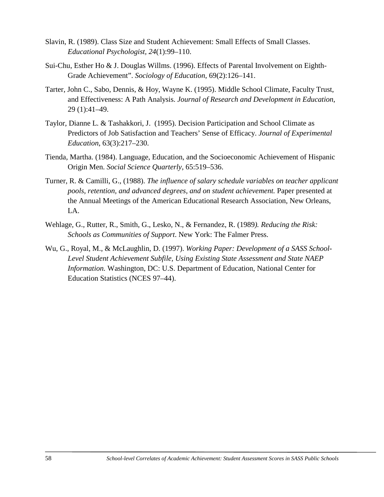- Slavin, R. (1989). Class Size and Student Achievement: Small Effects of Small Classes. *Educational Psychologist, 24*(1):99–110.
- Sui-Chu, Esther Ho & J. Douglas Willms. (1996). Effects of Parental Involvement on Eighth-Grade Achievement". *Sociology of Education*, 69(2):126–141.
- Tarter, John C., Sabo, Dennis, & Hoy, Wayne K. (1995). Middle School Climate, Faculty Trust, and Effectiveness: A Path Analysis. *Journal of Research and Development in Education*, 29 (1):41–49.
- Taylor, Dianne L. & Tashakkori, J. (1995). Decision Participation and School Climate as Predictors of Job Satisfaction and Teachers' Sense of Efficacy. *Journal of Experimental Education*, 63(3):217–230.
- Tienda, Martha. (1984). Language, Education, and the Socioeconomic Achievement of Hispanic Origin Men. *Social Science Quarterly*, 65:519–536.
- Turner, R. & Camilli, G., (1988). *The influence of salary schedule variables on teacher applicant pools, retention, and advanced degrees, and on student achievement.* Paper presented at the Annual Meetings of the American Educational Research Association, New Orleans, LA.
- Wehlage, G., Rutter, R., Smith, G., Lesko, N., & Fernandez, R. (1989*). Reducing the Risk: Schools as Communities of Support*. New York: The Falmer Press.
- Wu, G., Royal, M., & McLaughlin, D. (1997). *Working Paper: Development of a SASS School-Level Student Achievement Subfile, Using Existing State Assessment and State NAEP Information.* Washington, DC: U.S. Department of Education, National Center for Education Statistics (NCES 97–44).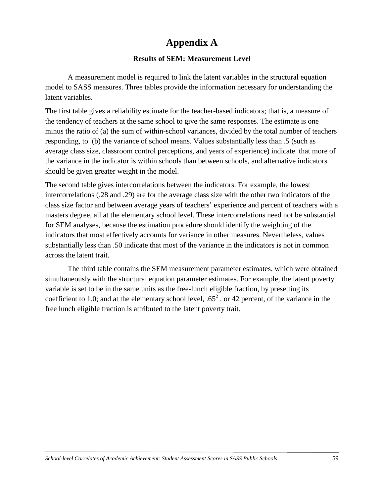# **Appendix A**

## **Results of SEM: Measurement Level**

A measurement model is required to link the latent variables in the structural equation model to SASS measures. Three tables provide the information necessary for understanding the latent variables.

The first table gives a reliability estimate for the teacher-based indicators; that is, a measure of the tendency of teachers at the same school to give the same responses. The estimate is one minus the ratio of (a) the sum of within-school variances, divided by the total number of teachers responding, to (b) the variance of school means. Values substantially less than .5 (such as average class size, classroom control perceptions, and years of experience) indicate that more of the variance in the indicator is within schools than between schools, and alternative indicators should be given greater weight in the model.

The second table gives intercorrelations between the indicators. For example, the lowest intercorrelations (.28 and .29) are for the average class size with the other two indicators of the class size factor and between average years of teachers' experience and percent of teachers with a masters degree, all at the elementary school level. These intercorrelations need not be substantial for SEM analyses, because the estimation procedure should identify the weighting of the indicators that most effectively accounts for variance in other measures. Nevertheless, values substantially less than .50 indicate that most of the variance in the indicators is not in common across the latent trait.

The third table contains the SEM measurement parameter estimates, which were obtained simultaneously with the structural equation parameter estimates. For example, the latent poverty variable is set to be in the same units as the free-lunch eligible fraction, by presetting its coefficient to 1.0; and at the elementary school level,  $.65^2$ , or 42 percent, of the variance in the free lunch eligible fraction is attributed to the latent poverty trait.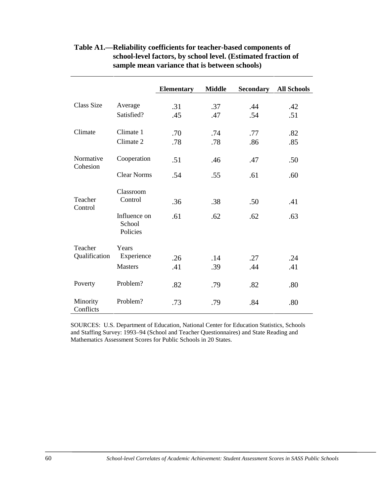|                       |                                    | <b>Elementary</b> | <b>Middle</b> | <b>Secondary</b> | <b>All Schools</b> |
|-----------------------|------------------------------------|-------------------|---------------|------------------|--------------------|
|                       |                                    |                   |               |                  |                    |
| Class Size            | Average                            | .31               | .37           | .44              | .42                |
|                       | Satisfied?                         | .45               | .47           | .54              | .51                |
| Climate               | Climate 1                          | .70               | .74           | .77              | .82                |
|                       | Climate 2                          | .78               | .78           | .86              | .85                |
| Normative<br>Cohesion | Cooperation                        | .51               | .46           | .47              | .50                |
|                       | <b>Clear Norms</b>                 | .54               | .55           | .61              | .60                |
|                       | Classroom                          |                   |               |                  |                    |
| Teacher<br>Control    | Control                            | .36               | .38           | .50              | .41                |
|                       | Influence on<br>School<br>Policies | .61               | .62           | .62              | .63                |
| Teacher               | Years                              |                   |               |                  |                    |
| Qualification         | Experience                         | .26               | .14           | .27              | .24                |
|                       | <b>Masters</b>                     | .41               | .39           | .44              | .41                |
| Poverty               | Problem?                           | .82               | .79           | .82              | .80                |
| Minority<br>Conflicts | Problem?                           | .73               | .79           | .84              | .80                |

### **Table A1.—Reliability coefficients for teacher-based components of school-level factors, by school level. (Estimated fraction of sample mean variance that is between schools)**

SOURCES: U.S. Department of Education, National Center for Education Statistics, Schools and Staffing Survey: 1993–94 (School and Teacher Questionnaires) and State Reading and Mathematics Assessment Scores for Public Schools in 20 States.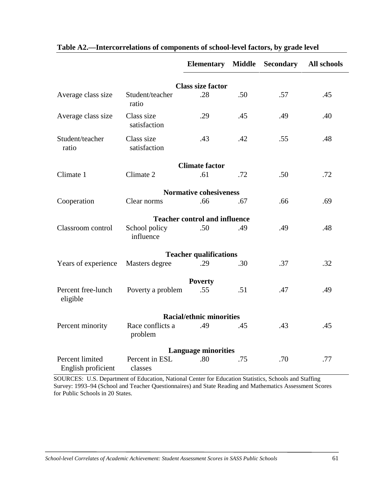|                                       |                             | <b>Elementary Middle</b>             |     | <b>Secondary</b> | All schools |
|---------------------------------------|-----------------------------|--------------------------------------|-----|------------------|-------------|
|                                       |                             | <b>Class size factor</b>             |     |                  |             |
| Average class size                    | Student/teacher<br>ratio    | .28                                  | .50 | .57              | .45         |
| Average class size                    | Class size<br>satisfaction  | .29                                  | .45 | .49              | .40         |
| Student/teacher<br>ratio              | Class size<br>satisfaction  | .43                                  | .42 | .55              | .48         |
|                                       |                             | <b>Climate factor</b>                |     |                  |             |
| Climate 1                             | Climate 2                   | .61                                  | .72 | .50              | .72         |
|                                       |                             | <b>Normative cohesiveness</b>        |     |                  |             |
| Cooperation                           | Clear norms                 | .66                                  | .67 | .66              | .69         |
|                                       |                             | <b>Teacher control and influence</b> |     |                  |             |
| Classroom control                     | School policy<br>influence  | .50                                  | .49 | .49              | .48         |
|                                       |                             | <b>Teacher qualifications</b>        |     |                  |             |
| Years of experience                   | Masters degree              | .29                                  | .30 | .37              | .32         |
|                                       |                             | <b>Poverty</b>                       |     |                  |             |
| Percent free-lunch<br>eligible        | Poverty a problem           | .55                                  | .51 | .47              | .49         |
|                                       |                             | <b>Racial/ethnic minorities</b>      |     |                  |             |
| Percent minority                      | Race conflicts a<br>problem | .49                                  | .45 | .43              | .45         |
|                                       |                             | <b>Language minorities</b>           |     |                  |             |
| Percent limited<br>English proficient | Percent in ESL<br>classes   | .80                                  | .75 | .70              | .77         |

## **Table A2.—Intercorrelations of components of school-level factors, by grade level**

SOURCES: U.S. Department of Education, National Center for Education Statistics, Schools and Staffing Survey: 1993–94 (School and Teacher Questionnaires) and State Reading and Mathematics Assessment Scores for Public Schools in 20 States.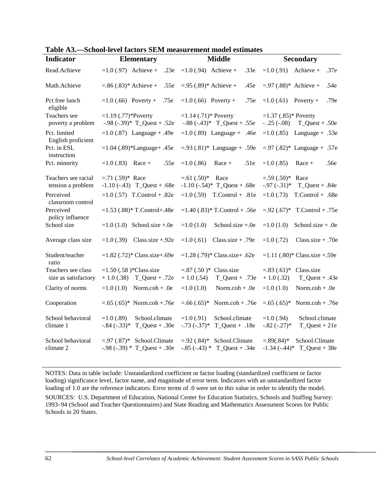| <b>Indicator</b>                   | <b>Elementary</b>                                                     | <b>Middle</b>                                                          | <b>Secondary</b>                                                       |
|------------------------------------|-----------------------------------------------------------------------|------------------------------------------------------------------------|------------------------------------------------------------------------|
| Read.Achieve                       | $=1.0$ (.97) Achieve +<br>.23e                                        | $=1.0$ (.94) Achieve +<br>.33e                                         | $=1.0$ (.91) Achieve +<br>.37e                                         |
| Math.Achieve                       | $=.86(.83)*$ Achieve +<br>.55e                                        | .45e<br>$=.95(.89)*$ Achieve +                                         | $=.97(.88)*$ Achieve +<br>.54e                                         |
| Pct free lunch<br>eligible         | $=1.0$ (.66) Poverty +<br>.75e                                        | $=1.0$ (.66) Poverty +<br>.75e                                         | $=1.0$ (.61) Poverty +<br>.79e                                         |
| Teachers see<br>poverty a problem  | $=1.19$ (.77)*Poverty<br>$-.98$ $(-.39)^*$ T_Quest + .52e             | $=1.14$ (.71)* Poverty<br>$-0.88$ $(-0.43)^*$ T_Quest + .55e           | $=1.37(.85)^*$ Poverty<br>$T_{\text{-}}$ Quest + .50e<br>$-.25(-.08)$  |
| Pct. limited<br>English proficient | $=1.0$ (.87) Language + .49e                                          | $=1.0$ (.89) Language + .46e                                           | $=1.0$ (.85) Language + .53e                                           |
| Pct. in ESL<br>instruction         | $=1.04$ (.89)*Language+ .45e                                          | $= 0.93$ (.81)* Language + .59e                                        | $= 0.97$ (.82)* Language + .57e                                        |
| Pct. minority                      | $=1.0$ (.83) Race +<br>.55e                                           | $=1.0$ (.86)<br>.51e<br>$Race +$                                       | $=1.0$ (.85)<br>.56e<br>Race +                                         |
| Teachers see racial                | $=.71(.59)*$ Race                                                     | $=.61(.50)*$ Race                                                      | $=.59(.50)^*$ Race                                                     |
| tension a problem                  | $-1.10$ ( $-43$ ) T_Quest + .68e                                      | $-1.10$ $(-.54)^*$ T_Quest + .68e                                      | $-.97(-.31)*$<br>$T_Q$ Quest + .84e                                    |
| Perceived<br>classroom control     | $=1.0$ (.57) T.Control + .82e                                         | $=1.0$ (.59) T.Control + .81e                                          | T.Control + .68e<br>$=1.0$ (.73)                                       |
| Perceived<br>policy influence      | $=1.53$ (.88)* T.Control+.48e                                         | $=1.40$ (.83)* T.Control + .56e                                        | $= 0.92$ (.67)* T.Control + .75e                                       |
| School size                        | $=1.0(1.0)$ School.size +.0e                                          | $=1.0(1.0)$<br>School.size +.0e                                        | $=1.0(1.0)$<br>$School.size + .0e$                                     |
| Average class size                 | $=1.0$ (.39) Class size +.92e                                         | $=1.0$ (.61)<br>$Class.size + .79e$                                    | $=1.0$ (.72)<br>$Class.size + .70e$                                    |
| Student/teacher<br>ratio           | $=1.82$ (.72)* Class.size+.69e                                        | $=1.28$ (.79)* Class.size+ .62e                                        | $=1.11$ (.80)* Class.size +.59e                                        |
| Teachers see class                 | $=1.50$ (.58)*Class.size                                              | $=.87(.50)*$ Class.size                                                | $=.83(.61)*$<br>Class.size                                             |
| size as satisfactory               | $+1.0(.38)$ T_Quest + .72e                                            | $+1.0(.54)$<br>$T_Q$ Quest + .73e                                      | $+1.0(.32)$<br>$T_Q$ Quest + .43e                                      |
| Clarity of norms                   | Norm.coh $+ .0e$<br>$=1.0(1.0)$                                       | $=1.0(1.0)$<br>Norm.coh $+ .0e$                                        | $=1.0(1.0)$<br>Norm.coh $+ .0e$                                        |
| Cooperation                        | $=.65(.65)^*$ Norm.coh +.76e                                          | Norm.coh $+ .76e$<br>$=.66(.65)*$                                      | Norm.coh + $.76e$<br>$=.65(.65)*$                                      |
| School behavioral<br>climate 1     | School.climate<br>$=1.0$ (.89)<br>$-0.84$ ( $-0.33$ )* T_Quest + .30e | $=1.0$ (.91)<br>School.climate<br>$T_Quest + .18e$<br>$-.73(-.37)*$    | $=1.0$ (.94)<br>School.climate<br>$-.82 (-.27)$ *<br>$T_Q$ quest + 21e |
| School behavioral<br>climate 2     | $= 0.97$ (.87)* School.Climate<br>$-.98$ ( $-.39$ ) * T_Quest + .30e  | $= 0.92$ (.84)* School.Climate<br>$-0.85$ ( $-0.43$ ) * T_Quest + .34e | School.Climate<br>$=.89(.84)*$<br>$-1.34$ $(-.44)^*$ T_Quest + 38e     |

**Table A3.—School-level factors SEM measurement model estimates**

NOTES: Data in table include: Unstandardized coefficient or factor loading (standardized coefficient or factor loading) significance level, factor name, and magnitude of error term. Indicators with an unstandardized factor loading of 1.0 are the reference indicators. Error terms of .0 were set to this value in order to identify the model. SOURCES: U.S. Department of Education, National Center for Education Statistics, Schools and Staffing Survey: 1993–94 (School and Teacher Questionnaires) and State Reading and Mathematics Assessment Scores for Public Schools in 20 States.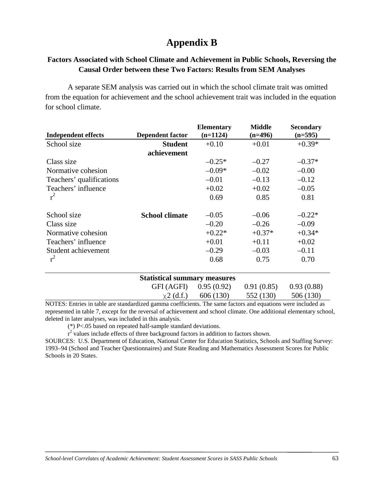# **Appendix B**

## **Factors Associated with School Climate and Achievement in Public Schools, Reversing the Causal Order between these Two Factors: Results from SEM Analyses**

A separate SEM analysis was carried out in which the school climate trait was omitted from the equation for achievement and the school achievement trait was included in the equation for school climate.

|                            |                                     | <b>Elementary</b> | <b>Middle</b> | <b>Secondary</b> |
|----------------------------|-------------------------------------|-------------------|---------------|------------------|
| <b>Independent effects</b> | <b>Dependent factor</b>             | $(n=1124)$        | $(n=496)$     | $(n=595)$        |
| School size                | <b>Student</b>                      | $+0.10$           | $+0.01$       | $+0.39*$         |
|                            | achievement                         |                   |               |                  |
| Class size                 |                                     | $-0.25*$          | $-0.27$       | $-0.37*$         |
| Normative cohesion         |                                     | $-0.09*$          | $-0.02$       | $-0.00$          |
| Teachers' qualifications   |                                     | $-0.01$           | $-0.13$       | $-0.12$          |
| Teachers' influence        |                                     | $+0.02$           | $+0.02$       | $-0.05$          |
| $r^2$                      |                                     | 0.69              | 0.85          | 0.81             |
| School size                | <b>School climate</b>               | $-0.05$           | $-0.06$       | $-0.22*$         |
| Class size                 |                                     | $-0.20$           | $-0.26$       | $-0.09$          |
| Normative cohesion         |                                     | $+0.22*$          | $+0.37*$      | $+0.34*$         |
| Teachers' influence        |                                     | $+0.01$           | $+0.11$       | $+0.02$          |
| Student achievement        |                                     | $-0.29$           | $-0.03$       | $-0.11$          |
| $r^2$                      |                                     | 0.68              | 0.75          | 0.70             |
|                            | <b>Statistical summary measures</b> |                   |               |                  |
|                            | GFI (AGFI)                          | 0.95(0.92)        | 0.91(0.85)    | 0.93(0.88)       |
|                            | $\chi$ 2 (d.f.)                     | 606 (130)         | 552 (130)     | 506 (130)        |

NOTES: Entries in table are standardized gamma coefficients. The same factors and equations were included as represented in table 7, except for the reversal of achievement and school climate. One additional elementary school, deleted in later analyses, was included in this analysis.

(\*) P<.05 based on repeated half-sample standard deviations.

r<sup>2</sup> values include effects of three background factors in addition to factors shown.

SOURCES: U.S. Department of Education, National Center for Education Statistics, Schools and Staffing Survey: 1993–94 (School and Teacher Questionnaires) and State Reading and Mathematics Assessment Scores for Public Schools in 20 States.